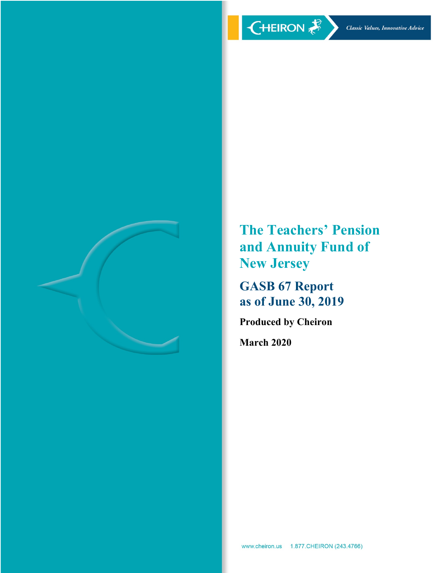

**The Teachers' Pension and Annuity Fund of New Jersey**

**GASB 67 Report as of June 30, 2019**

**Produced by Cheiron**

**March 2020**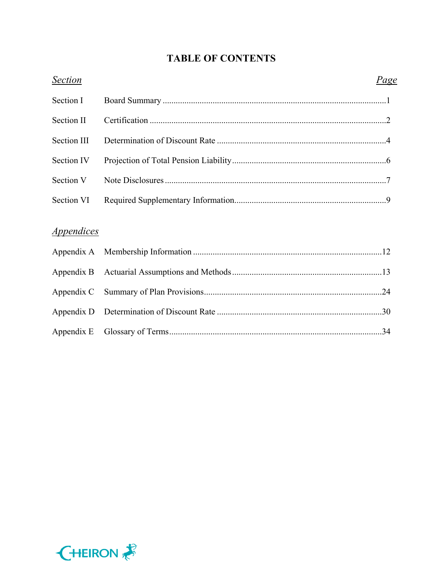# **TABLE OF CONTENTS**

| <b>Section</b>                  | Page |
|---------------------------------|------|
| Section I                       |      |
| Section II                      |      |
| <b>Section III</b>              |      |
| Section IV                      |      |
| Section V                       |      |
| Section VI                      |      |
|                                 |      |
| <i><u><b>Appendices</b></u></i> |      |
| Appendix A                      |      |
| Appendix B                      |      |
| Appendix C                      |      |
| Appendix D                      |      |
| Appendix E                      |      |

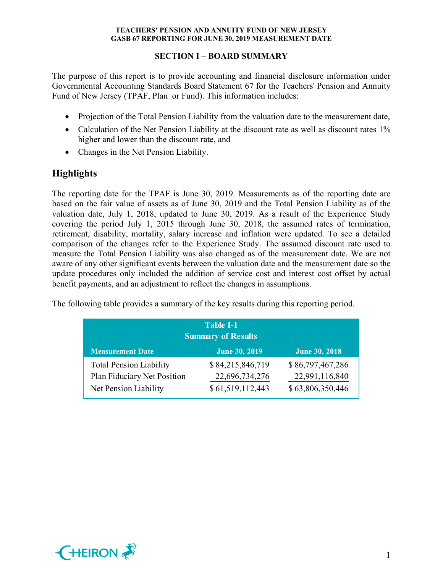# **SECTION I – BOARD SUMMARY**

The purpose of this report is to provide accounting and financial disclosure information under Governmental Accounting Standards Board Statement 67 for the Teachers' Pension and Annuity Fund of New Jersey (TPAF, Plan or Fund). This information includes:

- Projection of the Total Pension Liability from the valuation date to the measurement date,
- Calculation of the Net Pension Liability at the discount rate as well as discount rates 1% higher and lower than the discount rate, and
- Changes in the Net Pension Liability.

# **Highlights**

The reporting date for the TPAF is June 30, 2019. Measurements as of the reporting date are based on the fair value of assets as of June 30, 2019 and the Total Pension Liability as of the valuation date, July 1, 2018, updated to June 30, 2019. As a result of the Experience Study covering the period July 1, 2015 through June 30, 2018, the assumed rates of termination, retirement, disability, mortality, salary increase and inflation were updated. To see a detailed comparison of the changes refer to the Experience Study. The assumed discount rate used to measure the Total Pension Liability was also changed as of the measurement date. We are not aware of any other significant events between the valuation date and the measurement date so the update procedures only included the addition of service cost and interest cost offset by actual benefit payments, and an adjustment to reflect the changes in assumptions.

| <b>Table I-1</b><br><b>Summary of Results</b>                 |                                    |                                    |  |  |  |
|---------------------------------------------------------------|------------------------------------|------------------------------------|--|--|--|
| <b>Measurement Date</b>                                       | <b>June 30, 2019</b>               | <b>June 30, 2018</b>               |  |  |  |
| <b>Total Pension Liability</b><br>Plan Fiduciary Net Position | \$84,215,846,719<br>22,696,734,276 | \$86,797,467,286<br>22,991,116,840 |  |  |  |
| Net Pension Liability                                         | \$61,519,112,443                   | \$63,806,350,446                   |  |  |  |

The following table provides a summary of the key results during this reporting period.

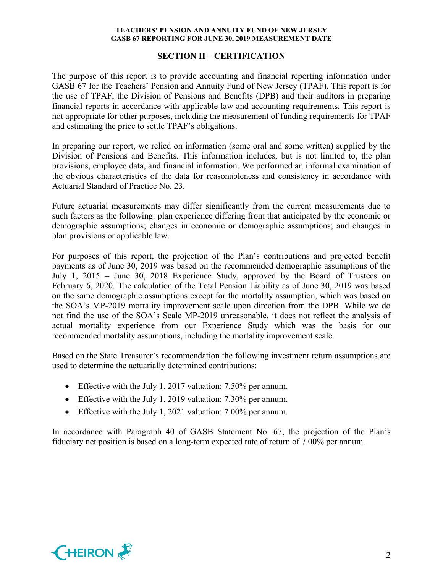## **SECTION II – CERTIFICATION**

The purpose of this report is to provide accounting and financial reporting information under GASB 67 for the Teachers' Pension and Annuity Fund of New Jersey (TPAF). This report is for the use of TPAF, the Division of Pensions and Benefits (DPB) and their auditors in preparing financial reports in accordance with applicable law and accounting requirements. This report is not appropriate for other purposes, including the measurement of funding requirements for TPAF and estimating the price to settle TPAF's obligations.

In preparing our report, we relied on information (some oral and some written) supplied by the Division of Pensions and Benefits. This information includes, but is not limited to, the plan provisions, employee data, and financial information. We performed an informal examination of the obvious characteristics of the data for reasonableness and consistency in accordance with Actuarial Standard of Practice No. 23.

Future actuarial measurements may differ significantly from the current measurements due to such factors as the following: plan experience differing from that anticipated by the economic or demographic assumptions; changes in economic or demographic assumptions; and changes in plan provisions or applicable law.

For purposes of this report, the projection of the Plan's contributions and projected benefit payments as of June 30, 2019 was based on the recommended demographic assumptions of the July 1, 2015 – June 30, 2018 Experience Study, approved by the Board of Trustees on February 6, 2020. The calculation of the Total Pension Liability as of June 30, 2019 was based on the same demographic assumptions except for the mortality assumption, which was based on the SOA's MP-2019 mortality improvement scale upon direction from the DPB. While we do not find the use of the SOA's Scale MP-2019 unreasonable, it does not reflect the analysis of actual mortality experience from our Experience Study which was the basis for our recommended mortality assumptions, including the mortality improvement scale.

Based on the State Treasurer's recommendation the following investment return assumptions are used to determine the actuarially determined contributions:

- Effective with the July 1, 2017 valuation: 7.50% per annum,
- Effective with the July 1, 2019 valuation: 7.30% per annum,
- Effective with the July 1, 2021 valuation: 7.00% per annum.

In accordance with Paragraph 40 of GASB Statement No. 67, the projection of the Plan's fiduciary net position is based on a long-term expected rate of return of 7.00% per annum.

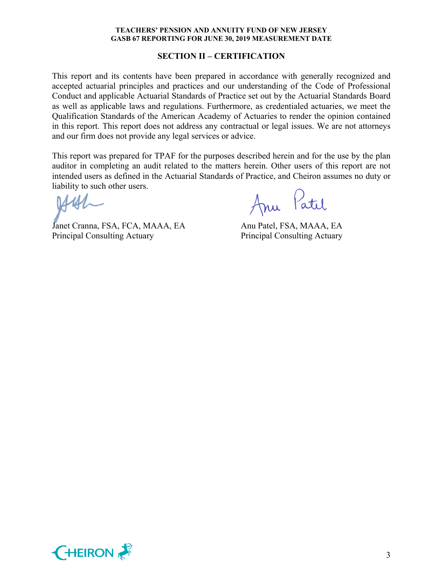#### **SECTION II – CERTIFICATION**

This report and its contents have been prepared in accordance with generally recognized and accepted actuarial principles and practices and our understanding of the Code of Professional Conduct and applicable Actuarial Standards of Practice set out by the Actuarial Standards Board as well as applicable laws and regulations. Furthermore, as credentialed actuaries, we meet the Qualification Standards of the American Academy of Actuaries to render the opinion contained in this report. This report does not address any contractual or legal issues. We are not attorneys and our firm does not provide any legal services or advice.

This report was prepared for TPAF for the purposes described herein and for the use by the plan auditor in completing an audit related to the matters herein. Other users of this report are not intended users as defined in the Actuarial Standards of Practice, and Cheiron assumes no duty or liability to such other users.

Janet Cranna, FSA, FCA, MAAA, EA Anu Patel, FSA, MAAA, EA Principal Consulting Actuary Principal Consulting Actuary

Anu Patil

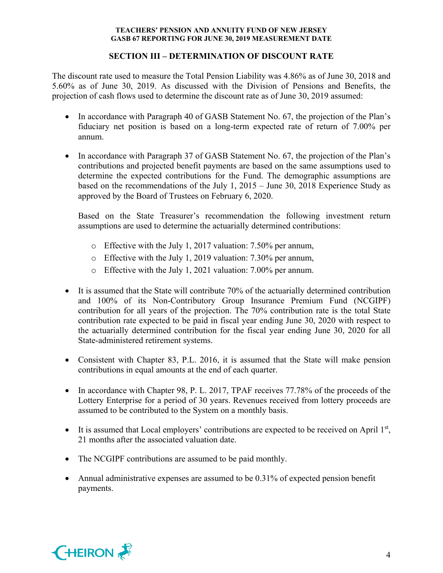# **SECTION III – DETERMINATION OF DISCOUNT RATE**

The discount rate used to measure the Total Pension Liability was 4.86% as of June 30, 2018 and 5.60% as of June 30, 2019. As discussed with the Division of Pensions and Benefits, the projection of cash flows used to determine the discount rate as of June 30, 2019 assumed:

- In accordance with Paragraph 40 of GASB Statement No. 67, the projection of the Plan's fiduciary net position is based on a long-term expected rate of return of 7.00% per annum.
- In accordance with Paragraph 37 of GASB Statement No. 67, the projection of the Plan's contributions and projected benefit payments are based on the same assumptions used to determine the expected contributions for the Fund. The demographic assumptions are based on the recommendations of the July 1, 2015 – June 30, 2018 Experience Study as approved by the Board of Trustees on February 6, 2020.

Based on the State Treasurer's recommendation the following investment return assumptions are used to determine the actuarially determined contributions:

- o Effective with the July 1, 2017 valuation: 7.50% per annum,
- o Effective with the July 1, 2019 valuation: 7.30% per annum,
- o Effective with the July 1, 2021 valuation: 7.00% per annum.
- It is assumed that the State will contribute 70% of the actuarially determined contribution and 100% of its Non-Contributory Group Insurance Premium Fund (NCGIPF) contribution for all years of the projection. The 70% contribution rate is the total State contribution rate expected to be paid in fiscal year ending June 30, 2020 with respect to the actuarially determined contribution for the fiscal year ending June 30, 2020 for all State-administered retirement systems.
- Consistent with Chapter 83, P.L. 2016, it is assumed that the State will make pension contributions in equal amounts at the end of each quarter.
- In accordance with Chapter 98, P. L. 2017, TPAF receives 77.78% of the proceeds of the Lottery Enterprise for a period of 30 years. Revenues received from lottery proceeds are assumed to be contributed to the System on a monthly basis.
- It is assumed that Local employers' contributions are expected to be received on April  $1<sup>st</sup>$ , 21 months after the associated valuation date.
- The NCGIPF contributions are assumed to be paid monthly.
- Annual administrative expenses are assumed to be 0.31% of expected pension benefit payments.

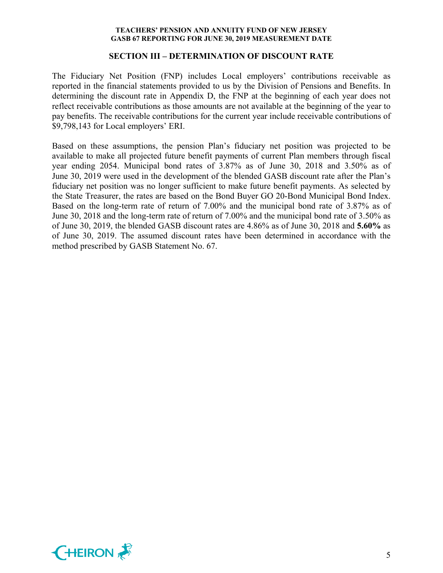#### **SECTION III – DETERMINATION OF DISCOUNT RATE**

The Fiduciary Net Position (FNP) includes Local employers' contributions receivable as reported in the financial statements provided to us by the Division of Pensions and Benefits. In determining the discount rate in Appendix D, the FNP at the beginning of each year does not reflect receivable contributions as those amounts are not available at the beginning of the year to pay benefits. The receivable contributions for the current year include receivable contributions of \$9,798,143 for Local employers' ERI.

Based on these assumptions, the pension Plan's fiduciary net position was projected to be available to make all projected future benefit payments of current Plan members through fiscal year ending 2054. Municipal bond rates of 3.87% as of June 30, 2018 and 3.50% as of June 30, 2019 were used in the development of the blended GASB discount rate after the Plan's fiduciary net position was no longer sufficient to make future benefit payments. As selected by the State Treasurer, the rates are based on the Bond Buyer GO 20-Bond Municipal Bond Index. Based on the long-term rate of return of 7.00% and the municipal bond rate of 3.87% as of June 30, 2018 and the long-term rate of return of 7.00% and the municipal bond rate of 3.50% as of June 30, 2019, the blended GASB discount rates are 4.86% as of June 30, 2018 and **5.60%** as of June 30, 2019. The assumed discount rates have been determined in accordance with the method prescribed by GASB Statement No. 67.

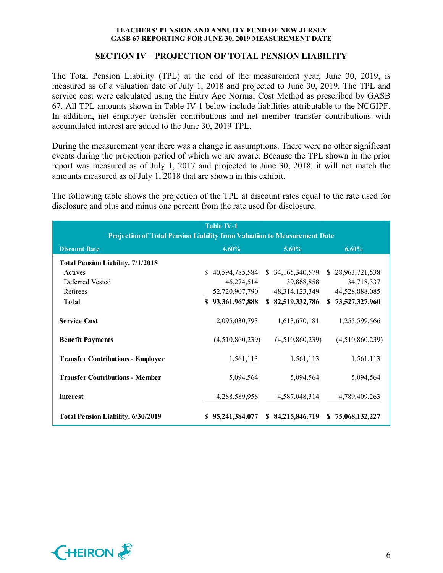## **SECTION IV – PROJECTION OF TOTAL PENSION LIABILITY**

The Total Pension Liability (TPL) at the end of the measurement year, June 30, 2019, is measured as of a valuation date of July 1, 2018 and projected to June 30, 2019. The TPL and service cost were calculated using the Entry Age Normal Cost Method as prescribed by GASB 67. All TPL amounts shown in Table IV-1 below include liabilities attributable to the NCGIPF. In addition, net employer transfer contributions and net member transfer contributions with accumulated interest are added to the June 30, 2019 TPL.

During the measurement year there was a change in assumptions. There were no other significant events during the projection period of which we are aware. Because the TPL shown in the prior report was measured as of July 1, 2017 and projected to June 30, 2018, it will not match the amounts measured as of July 1, 2018 that are shown in this exhibit.

The following table shows the projection of the TPL at discount rates equal to the rate used for disclosure and plus and minus one percent from the rate used for disclosure.

| <b>Table IV-1</b><br><b>Projection of Total Pension Liability from Valuation to Measurement Date</b> |                      |                   |                      |  |
|------------------------------------------------------------------------------------------------------|----------------------|-------------------|----------------------|--|
| <b>Discount Rate</b>                                                                                 | $4.60\%$             | 5.60%             | 6.60%                |  |
| <b>Total Pension Liability, 7/1/2018</b>                                                             |                      |                   |                      |  |
| Actives                                                                                              | \$40,594,785,584     | \$ 34,165,340,579 | \$28,963,721,538     |  |
| Deferred Vested                                                                                      | 46,274,514           | 39,868,858        | 34,718,337           |  |
| Retirees                                                                                             | 52,720,907,790       | 48, 314, 123, 349 | 44,528,888,085       |  |
| <b>Total</b>                                                                                         | \$93,361,967,888     | \$82,519,332,786  | \$73,527,327,960     |  |
| <b>Service Cost</b>                                                                                  | 2,095,030,793        | 1,613,670,181     | 1,255,599,566        |  |
| <b>Benefit Payments</b>                                                                              | (4,510,860,239)      | (4,510,860,239)   | (4,510,860,239)      |  |
| <b>Transfer Contributions - Employer</b>                                                             | 1,561,113            | 1,561,113         | 1,561,113            |  |
| <b>Transfer Contributions - Member</b>                                                               | 5,094,564            | 5,094,564         | 5,094,564            |  |
| <b>Interest</b>                                                                                      | 4,288,589,958        | 4,587,048,314     | 4,789,409,263        |  |
| <b>Total Pension Liability, 6/30/2019</b>                                                            | 95,241,384,077<br>S. | \$ 84,215,846,719 | 75,068,132,227<br>S. |  |

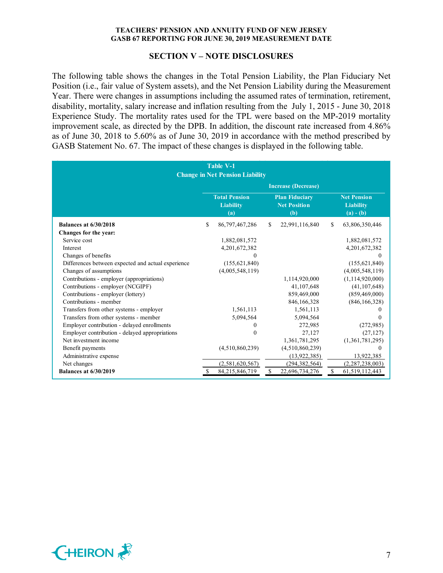#### **SECTION V – NOTE DISCLOSURES**

The following table shows the changes in the Total Pension Liability, the Plan Fiduciary Net Position (i.e., fair value of System assets), and the Net Pension Liability during the Measurement Year. There were changes in assumptions including the assumed rates of termination, retirement, disability, mortality, salary increase and inflation resulting from the July 1, 2015 - June 30, 2018 Experience Study. The mortality rates used for the TPL were based on the MP-2019 mortality improvement scale, as directed by the DPB. In addition, the discount rate increased from 4.86% as of June 30, 2018 to 5.60% as of June 30, 2019 in accordance with the method prescribed by GASB Statement No. 67. The impact of these changes is displayed in the following table.

| Table V-1<br><b>Change in Net Pension Liability</b> |                                                                                                        |                 |    |                 |                                                       |                    |
|-----------------------------------------------------|--------------------------------------------------------------------------------------------------------|-----------------|----|-----------------|-------------------------------------------------------|--------------------|
|                                                     | <b>Increase (Decrease)</b>                                                                             |                 |    |                 |                                                       |                    |
|                                                     | <b>Total Pension</b><br><b>Plan Fiduciary</b><br><b>Liability</b><br><b>Net Position</b><br>(b)<br>(a) |                 |    |                 | <b>Net Pension</b><br><b>Liability</b><br>$(a) - (b)$ |                    |
| <b>Balances at 6/30/2018</b>                        | \$                                                                                                     | 86,797,467,286  | S  | 22,991,116,840  | \$                                                    | 63,806,350,446     |
| Changes for the year:                               |                                                                                                        |                 |    |                 |                                                       |                    |
| Service cost                                        |                                                                                                        | 1,882,081,572   |    |                 |                                                       | 1,882,081,572      |
| Interest                                            |                                                                                                        | 4,201,672,382   |    |                 |                                                       | 4, 201, 672, 382   |
| Changes of benefits                                 |                                                                                                        |                 |    |                 |                                                       | 0                  |
| Differences between expected and actual experience  |                                                                                                        | (155, 621, 840) |    |                 |                                                       | (155, 621, 840)    |
| Changes of assumptions                              |                                                                                                        | (4,005,548,119) |    |                 |                                                       | (4,005,548,119)    |
| Contributions - employer (appropriations)           |                                                                                                        |                 |    | 1,114,920,000   |                                                       | (1, 114, 920, 000) |
| Contributions - employer (NCGIPF)                   |                                                                                                        |                 |    | 41,107,648      |                                                       | (41, 107, 648)     |
| Contributions - employer (lottery)                  |                                                                                                        |                 |    | 859,469,000     |                                                       | (859, 469, 000)    |
| Contributions - member                              |                                                                                                        |                 |    | 846,166,328     |                                                       | (846, 166, 328)    |
| Transfers from other systems - employer             |                                                                                                        | 1,561,113       |    | 1,561,113       |                                                       | $_{0}$             |
| Transfers from other systems - member               |                                                                                                        | 5,094,564       |    | 5,094,564       |                                                       | 0                  |
| Employer contribution - delayed enrollments         |                                                                                                        | $\theta$        |    | 272,985         |                                                       | (272, 985)         |
| Employer contribution - delayed appropriations      |                                                                                                        | $\Omega$        |    | 27,127          |                                                       | (27, 127)          |
| Net investment income                               |                                                                                                        |                 |    | 1,361,781,295   |                                                       | (1,361,781,295)    |
| Benefit payments                                    |                                                                                                        | (4,510,860,239) |    | (4,510,860,239) |                                                       | 0                  |
| Administrative expense                              |                                                                                                        |                 |    | (13, 922, 385)  |                                                       | 13,922,385         |
| Net changes                                         |                                                                                                        | (2,581,620,567) |    | (294, 382, 564) |                                                       | (2,287,238,003)    |
| <b>Balances at 6/30/2019</b>                        |                                                                                                        | 84,215,846,719  | \$ | 22,696,734,276  | <sup>\$</sup>                                         | 61, 519, 112, 443  |

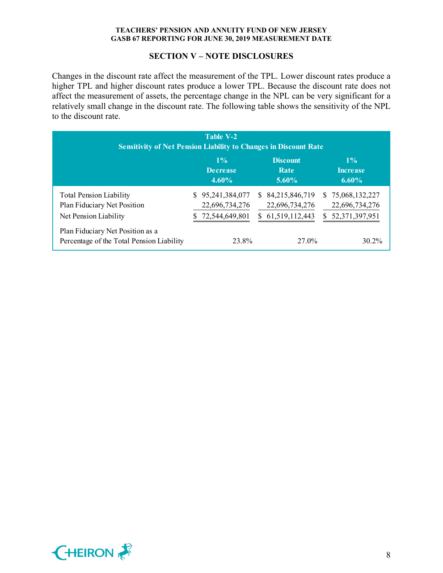#### **SECTION V – NOTE DISCLOSURES**

Changes in the discount rate affect the measurement of the TPL. Lower discount rates produce a higher TPL and higher discount rates produce a lower TPL. Because the discount rate does not affect the measurement of assets, the percentage change in the NPL can be very significant for a relatively small change in the discount rate. The following table shows the sensitivity of the NPL to the discount rate.

| Table V-2<br><b>Sensitivity of Net Pension Liability to Changes in Discount Rate</b>   |    |                                                    |    |                                                       |    |                                                      |
|----------------------------------------------------------------------------------------|----|----------------------------------------------------|----|-------------------------------------------------------|----|------------------------------------------------------|
|                                                                                        |    | $1\%$<br><b>Decrease</b><br>$4.60\%$               |    | <b>Discount</b><br>Rate<br>$5.60\%$                   |    | $1\%$<br><b>Increase</b><br>$6.60\%$                 |
| <b>Total Pension Liability</b><br>Plan Fiduciary Net Position<br>Net Pension Liability | S. | 95,241,384,077<br>22,696,734,276<br>72,544,649,801 | S. | \$ 84,215,846,719<br>22,696,734,276<br>61,519,112,443 | S. | \$75,068,132,227<br>22,696,734,276<br>52,371,397,951 |
| Plan Fiduciary Net Position as a<br>Percentage of the Total Pension Liability          |    | 23.8%                                              |    | 27.0%                                                 |    | $30.2\%$                                             |

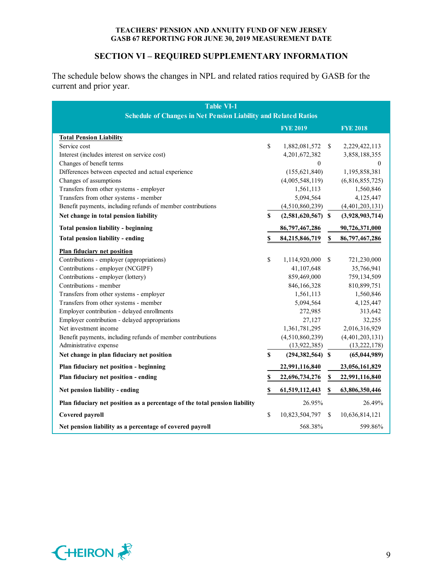# **SECTION VI – REQUIRED SUPPLEMENTARY INFORMATION**

The schedule below shows the changes in NPL and related ratios required by GASB for the current and prior year.

| <b>Table VI-1</b><br><b>Schedule of Changes in Net Pension Liability and Related Ratios</b> |    |                      |                           |                 |
|---------------------------------------------------------------------------------------------|----|----------------------|---------------------------|-----------------|
|                                                                                             |    | <b>FYE 2019</b>      |                           | <b>FYE 2018</b> |
| <b>Total Pension Liability</b>                                                              |    |                      |                           |                 |
| Service cost                                                                                | \$ | 1,882,081,572        | \$                        | 2,229,422,113   |
| Interest (includes interest on service cost)                                                |    | 4,201,672,382        |                           | 3,858,188,355   |
| Changes of benefit terms                                                                    |    | $\boldsymbol{0}$     |                           | $\mathbf{0}$    |
| Differences between expected and actual experience                                          |    | (155, 621, 840)      |                           | 1,195,858,381   |
| Changes of assumptions                                                                      |    | (4,005,548,119)      |                           | (6,816,855,725) |
| Transfers from other systems - employer                                                     |    | 1,561,113            |                           | 1,560,846       |
| Transfers from other systems - member                                                       |    | 5,094,564            |                           | 4,125,447       |
| Benefit payments, including refunds of member contributions                                 |    | (4,510,860,239)      |                           | (4,401,203,131) |
| Net change in total pension liability                                                       | \$ | $(2,581,620,567)$ \$ |                           | (3,928,903,714) |
| <b>Total pension liability - beginning</b>                                                  |    | 86,797,467,286       |                           | 90,726,371,000  |
| Total pension liability - ending                                                            | \$ | 84,215,846,719       | $\boldsymbol{\mathsf{S}}$ | 86,797,467,286  |
| <b>Plan fiduciary net position</b>                                                          |    |                      |                           |                 |
| Contributions - employer (appropriations)                                                   | \$ | 1,114,920,000        | \$                        | 721,230,000     |
| Contributions - employer (NCGIPF)                                                           |    | 41,107,648           |                           | 35,766,941      |
| Contributions - employer (lottery)                                                          |    | 859,469,000          |                           | 759,134,509     |
| Contributions - member                                                                      |    | 846,166,328          |                           | 810,899,751     |
| Transfers from other systems - employer                                                     |    | 1,561,113            |                           | 1,560,846       |
| Transfers from other systems - member                                                       |    | 5,094,564            |                           | 4,125,447       |
| Employer contribution - delayed enrollments                                                 |    | 272,985              |                           | 313,642         |
| Employer contribution - delayed appropriations                                              |    | 27,127               |                           | 32,255          |
| Net investment income                                                                       |    | 1,361,781,295        |                           | 2,016,316,929   |
| Benefit payments, including refunds of member contributions                                 |    | (4,510,860,239)      |                           | (4,401,203,131) |
| Administrative expense                                                                      |    | (13, 922, 385)       |                           | (13, 222, 178)  |
| Net change in plan fiduciary net position                                                   | \$ | $(294, 382, 564)$ \$ |                           | (65, 044, 989)  |
| Plan fiduciary net position - beginning                                                     |    | 22,991,116,840       |                           | 23,056,161,829  |
| Plan fiduciary net position - ending                                                        | \$ | 22,696,734,276       | $\mathbb S$               | 22,991,116,840  |
| Net pension liability - ending                                                              | \$ | 61,519,112,443       | \$                        | 63,806,350,446  |
| Plan fiduciary net position as a percentage of the total pension liability                  |    | 26.95%               |                           | 26.49%          |
| Covered payroll                                                                             | \$ | 10,823,504,797       | \$                        | 10,636,814,121  |
| Net pension liability as a percentage of covered payroll                                    |    | 568.38%              |                           | 599.86%         |

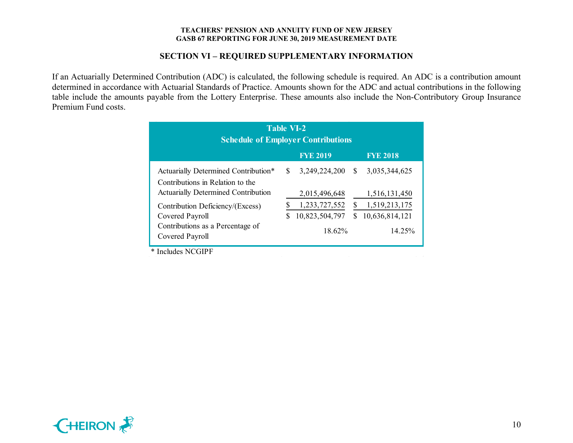## **SECTION VI – REQUIRED SUPPLEMENTARY INFORMATION**

If an Actuarially Determined Contribution (ADC) is calculated, the following schedule is required. An ADC is a contribution amount determined in accordance with Actuarial Standards of Practice. Amounts shown for the ADC and actual contributions in the following table include the amounts payable from the Lottery Enterprise. These amounts also include the Non-Contributory Group Insurance Premium Fund costs.

| Table VI-2<br><b>Schedule of Employer Contributions</b>                  |               |                |               |                |  |  |
|--------------------------------------------------------------------------|---------------|----------------|---------------|----------------|--|--|
| <b>FYE 2019</b><br><b>FYE 2018</b>                                       |               |                |               |                |  |  |
| Actuarially Determined Contribution*<br>Contributions in Relation to the | <sup>\$</sup> | 3,249,224,200  | <sup>\$</sup> | 3,035,344,625  |  |  |
| Actuarially Determined Contribution                                      |               | 2,015,496,648  |               | 1,516,131,450  |  |  |
| Contribution Deficiency/(Excess)                                         |               | 1,233,727,552  | S             | 1,519,213,175  |  |  |
| Covered Payroll                                                          | \$            | 10,823,504,797 | \$            | 10,636,814,121 |  |  |
| Contributions as a Percentage of<br>Covered Payroll                      |               | 18.62%         |               | 14.25%         |  |  |

\* Includes NCGIPF

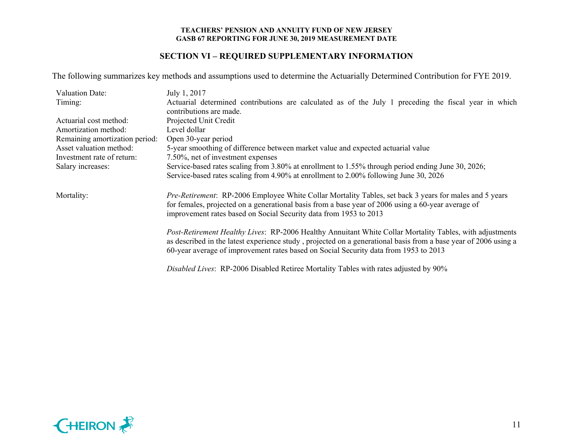# **SECTION VI – REQUIRED SUPPLEMENTARY INFORMATION**

The following summarizes key methods and assumptions used to determine the Actuarially Determined Contribution for FYE 2019.

| <b>Valuation Date:</b>         | July 1, 2017                                                                                                                                                                                                                                                                                                        |
|--------------------------------|---------------------------------------------------------------------------------------------------------------------------------------------------------------------------------------------------------------------------------------------------------------------------------------------------------------------|
| Timing:                        | Actuarial determined contributions are calculated as of the July 1 preceding the fiscal year in which<br>contributions are made.                                                                                                                                                                                    |
| Actuarial cost method:         | Projected Unit Credit                                                                                                                                                                                                                                                                                               |
| Amortization method:           | Level dollar                                                                                                                                                                                                                                                                                                        |
| Remaining amortization period: | Open 30-year period                                                                                                                                                                                                                                                                                                 |
| Asset valuation method:        | 5-year smoothing of difference between market value and expected actuarial value                                                                                                                                                                                                                                    |
| Investment rate of return:     | 7.50%, net of investment expenses                                                                                                                                                                                                                                                                                   |
| Salary increases:              | Service-based rates scaling from 3.80% at enrollment to 1.55% through period ending June 30, 2026;                                                                                                                                                                                                                  |
|                                | Service-based rates scaling from 4.90% at enrollment to 2.00% following June 30, 2026                                                                                                                                                                                                                               |
| Mortality:                     | <i>Pre-Retirement:</i> RP-2006 Employee White Collar Mortality Tables, set back 3 years for males and 5 years<br>for females, projected on a generational basis from a base year of 2006 using a 60-year average of<br>improvement rates based on Social Security data from 1953 to 2013                            |
|                                | Post-Retirement Healthy Lives: RP-2006 Healthy Annuitant White Collar Mortality Tables, with adjustments<br>as described in the latest experience study, projected on a generational basis from a base year of 2006 using a<br>60-year average of improvement rates based on Social Security data from 1953 to 2013 |
|                                | Disabled Lives: RP-2006 Disabled Retiree Mortality Tables with rates adjusted by 90%                                                                                                                                                                                                                                |

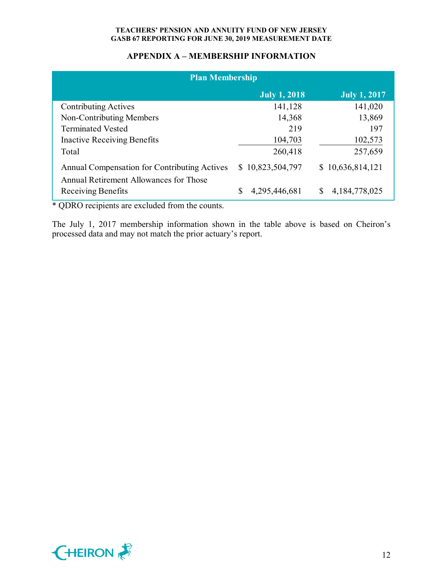# **APPENDIX A – MEMBERSHIP INFORMATION**

| <b>Plan Membership</b>                                       |                     |                     |  |  |  |
|--------------------------------------------------------------|---------------------|---------------------|--|--|--|
|                                                              | <b>July 1, 2018</b> | <b>July 1, 2017</b> |  |  |  |
| <b>Contributing Actives</b>                                  | 141,128             | 141,020             |  |  |  |
| Non-Contributing Members                                     | 14,368              | 13,869              |  |  |  |
| <b>Terminated Vested</b>                                     | 219                 | 197                 |  |  |  |
| <b>Inactive Receiving Benefits</b>                           | 104,703             | 102,573             |  |  |  |
| Total                                                        | 260,418             | 257,659             |  |  |  |
| Annual Compensation for Contributing Actives                 | \$10,823,504,797    | \$10,636,814,121    |  |  |  |
| Annual Retirement Allowances for Those<br>Receiving Benefits | 4,295,446,681       | \$<br>4,184,778,025 |  |  |  |

\* QDRO recipients are excluded from the counts.

The July 1, 2017 membership information shown in the table above is based on Cheiron's processed data and may not match the prior actuary's report.

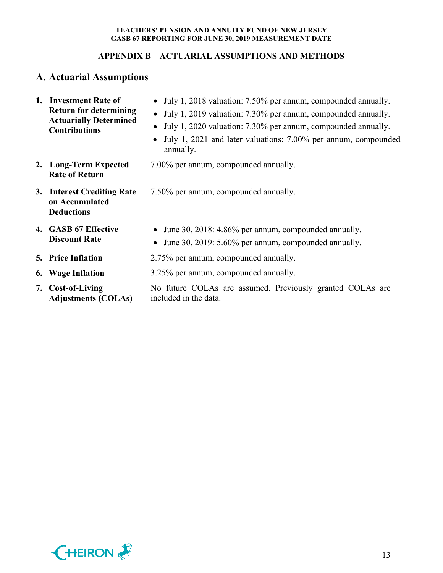# **APPENDIX B – ACTUARIAL ASSUMPTIONS AND METHODS**

# **A. Actuarial Assumptions**

| 1. Investment Rate of<br><b>Return for determining</b><br><b>Actuarially Determined</b><br><b>Contributions</b> | • July 1, 2018 valuation: 7.50% per annum, compounded annually.<br>• July 1, 2019 valuation: 7.30% per annum, compounded annually.<br>July 1, 2020 valuation: 7.30% per annum, compounded annually.<br>$\bullet$<br>July 1, 2021 and later valuations: 7.00% per annum, compounded<br>$\bullet$<br>annually. |  |  |
|-----------------------------------------------------------------------------------------------------------------|--------------------------------------------------------------------------------------------------------------------------------------------------------------------------------------------------------------------------------------------------------------------------------------------------------------|--|--|
| 2. Long-Term Expected<br><b>Rate of Return</b>                                                                  | 7.00% per annum, compounded annually.                                                                                                                                                                                                                                                                        |  |  |
| 3. Interest Crediting Rate<br>on Accumulated<br><b>Deductions</b>                                               | 7.50% per annum, compounded annually.                                                                                                                                                                                                                                                                        |  |  |
| 4. GASB 67 Effective<br><b>Discount Rate</b>                                                                    | June 30, 2018: 4.86% per annum, compounded annually.<br>$\bullet$<br>June 30, 2019: 5.60% per annum, compounded annually.<br>$\bullet$                                                                                                                                                                       |  |  |
| <b>5. Price Inflation</b>                                                                                       | 2.75% per annum, compounded annually.                                                                                                                                                                                                                                                                        |  |  |
| 6. Wage Inflation                                                                                               | 3.25% per annum, compounded annually.                                                                                                                                                                                                                                                                        |  |  |
| 7. Cost-of-Living<br><b>Adjustments (COLAs)</b>                                                                 | No future COLAs are assumed. Previously granted COLAs are<br>included in the data.                                                                                                                                                                                                                           |  |  |

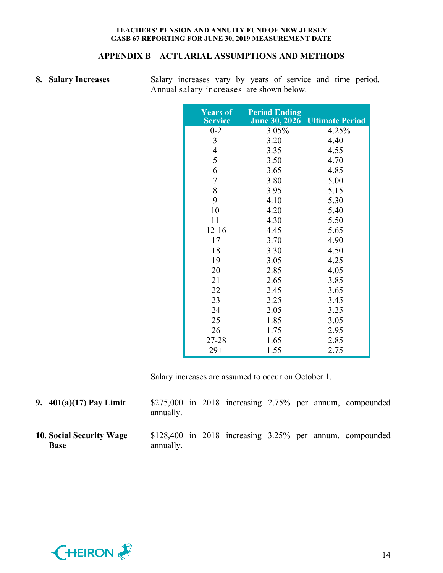# **APPENDIX B – ACTUARIAL ASSUMPTIONS AND METHODS**

|  | 8. Salary Increases |
|--|---------------------|
|  |                     |

**8. Salary Increases** Salary increases vary by years of service and time period. Annual salary increases are shown below.

| <b>Years of</b><br><b>Service</b> | <b>Period Ending</b><br><b>June 30, 2026</b> | <b>Ultimate Period</b> |
|-----------------------------------|----------------------------------------------|------------------------|
| $0 - 2$                           | 3.05%                                        | 4.25%                  |
| 3                                 | 3.20                                         | 4.40                   |
| $\overline{4}$                    | 3.35                                         | 4.55                   |
| 5                                 | 3.50                                         | 4.70                   |
| 6                                 | 3.65                                         | 4.85                   |
| 7                                 | 3.80                                         | 5.00                   |
| 8                                 | 3.95                                         | 5.15                   |
| 9                                 | 4.10                                         | 5.30                   |
| 10                                | 4.20                                         | 5.40                   |
| 11                                | 4.30                                         | 5.50                   |
| $12 - 16$                         | 4.45                                         | 5.65                   |
| 17                                | 3.70                                         | 4.90                   |
| 18                                | 3.30                                         | 4.50                   |
| 19                                | 3.05                                         | 4.25                   |
| 20                                | 2.85                                         | 4.05                   |
| 21                                | 2.65                                         | 3.85                   |
| 22                                | 2.45                                         | 3.65                   |
| 23                                | 2.25                                         | 3.45                   |
| 24                                | 2.05                                         | 3.25                   |
| 25                                | 1.85                                         | 3.05                   |
| 26                                | 1.75                                         | 2.95                   |
| 27-28                             | 1.65                                         | 2.85                   |
| $29+$                             | 1.55                                         | 2.75                   |

Salary increases are assumed to occur on October 1.

| 9. $401(a)(17)$ Pay Limit                      | annually. |  |  |  | $$275,000$ in 2018 increasing 2.75% per annum, compounded      |
|------------------------------------------------|-----------|--|--|--|----------------------------------------------------------------|
| <b>10. Social Security Wage</b><br><b>Base</b> | annually. |  |  |  | $$128,400$ in $2018$ increasing $3.25\%$ per annum, compounded |

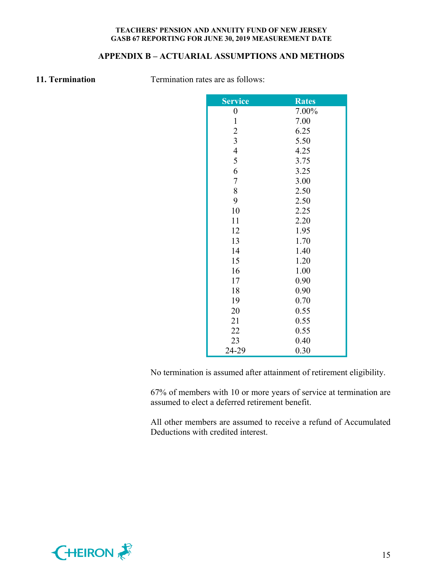# **APPENDIX B – ACTUARIAL ASSUMPTIONS AND METHODS**

**11. Termination** Termination rates are as follows:

| <b>Service</b>          | <b>Rates</b> |
|-------------------------|--------------|
| $\boldsymbol{0}$        | 7.00%        |
| $\mathbf{1}$            | 7.00         |
| $\overline{c}$          | 6.25         |
| $\overline{\mathbf{3}}$ | 5.50         |
| $\overline{4}$          | 4.25         |
| 5                       | 3.75         |
| 6                       | 3.25         |
| $\boldsymbol{7}$        | 3.00         |
| 8                       | 2.50         |
| 9                       | 2.50         |
| 10                      | 2.25         |
| 11                      | 2.20         |
| 12                      | 1.95         |
| 13                      | 1.70         |
| 14                      | 1.40         |
| 15                      | 1.20         |
| 16                      | 1.00         |
| 17                      | 0.90         |
| 18                      | 0.90         |
| 19                      | 0.70         |
| 20                      | 0.55         |
| 21                      | 0.55         |
| 22                      | 0.55         |
| 23                      | 0.40         |
| 24-29                   | 0.30         |

No termination is assumed after attainment of retirement eligibility.

67% of members with 10 or more years of service at termination are assumed to elect a deferred retirement benefit.

All other members are assumed to receive a refund of Accumulated Deductions with credited interest.

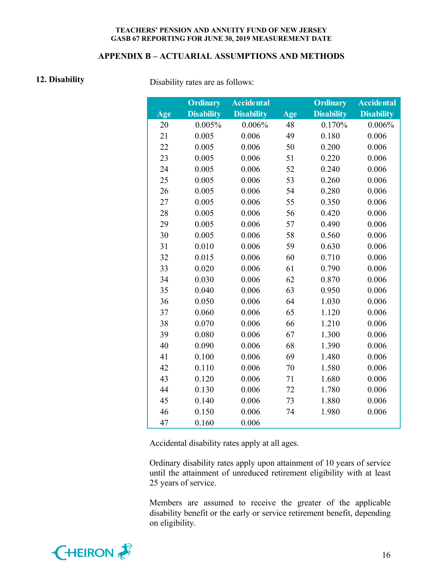## **APPENDIX B – ACTUARIAL ASSUMPTIONS AND METHODS**

**12. Disability** Disability rates are as follows:

|     | <b>Ordinary</b>   | <b>Accidental</b> |     | <b>Ordinary</b>   | <b>Accidental</b> |
|-----|-------------------|-------------------|-----|-------------------|-------------------|
| Age | <b>Disability</b> | <b>Disability</b> | Age | <b>Disability</b> | <b>Disability</b> |
| 20  | 0.005%            | 0.006%            | 48  | 0.170%            | 0.006%            |
| 21  | 0.005             | 0.006             | 49  | 0.180             | 0.006             |
| 22  | 0.005             | 0.006             | 50  | 0.200             | 0.006             |
| 23  | 0.005             | 0.006             | 51  | 0.220             | 0.006             |
| 24  | 0.005             | 0.006             | 52  | 0.240             | 0.006             |
| 25  | 0.005             | 0.006             | 53  | 0.260             | 0.006             |
| 26  | 0.005             | 0.006             | 54  | 0.280             | 0.006             |
| 27  | 0.005             | 0.006             | 55  | 0.350             | 0.006             |
| 28  | 0.005             | 0.006             | 56  | 0.420             | 0.006             |
| 29  | 0.005             | 0.006             | 57  | 0.490             | 0.006             |
| 30  | 0.005             | 0.006             | 58  | 0.560             | 0.006             |
| 31  | 0.010             | 0.006             | 59  | 0.630             | 0.006             |
| 32  | 0.015             | 0.006             | 60  | 0.710             | 0.006             |
| 33  | 0.020             | 0.006             | 61  | 0.790             | 0.006             |
| 34  | 0.030             | 0.006             | 62  | 0.870             | 0.006             |
| 35  | 0.040             | 0.006             | 63  | 0.950             | 0.006             |
| 36  | 0.050             | 0.006             | 64  | 1.030             | 0.006             |
| 37  | 0.060             | 0.006             | 65  | 1.120             | 0.006             |
| 38  | 0.070             | 0.006             | 66  | 1.210             | 0.006             |
| 39  | 0.080             | 0.006             | 67  | 1.300             | 0.006             |
| 40  | 0.090             | 0.006             | 68  | 1.390             | 0.006             |
| 41  | 0.100             | 0.006             | 69  | 1.480             | 0.006             |
| 42  | 0.110             | 0.006             | 70  | 1.580             | 0.006             |
| 43  | 0.120             | 0.006             | 71  | 1.680             | 0.006             |
| 44  | 0.130             | 0.006             | 72  | 1.780             | 0.006             |
| 45  | 0.140             | 0.006             | 73  | 1.880             | 0.006             |
| 46  | 0.150             | 0.006             | 74  | 1.980             | 0.006             |
| 47  | 0.160             | 0.006             |     |                   |                   |

Accidental disability rates apply at all ages.

Ordinary disability rates apply upon attainment of 10 years of service until the attainment of unreduced retirement eligibility with at least 25 years of service.

Members are assumed to receive the greater of the applicable disability benefit or the early or service retirement benefit, depending on eligibility.

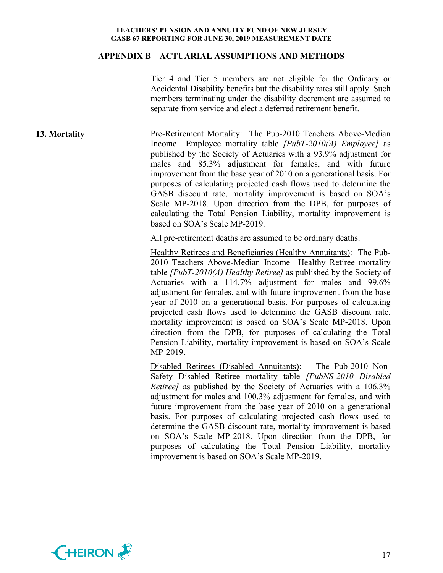#### **APPENDIX B – ACTUARIAL ASSUMPTIONS AND METHODS**

Tier 4 and Tier 5 members are not eligible for the Ordinary or Accidental Disability benefits but the disability rates still apply. Such members terminating under the disability decrement are assumed to separate from service and elect a deferred retirement benefit.

**13. Mortality Pre-Retirement Mortality:** The Pub-2010 Teachers Above-Median Income Employee mortality table *[PubT-2010(A) Employee]* as published by the Society of Actuaries with a 93.9% adjustment for males and 85.3% adjustment for females, and with future improvement from the base year of 2010 on a generational basis. For purposes of calculating projected cash flows used to determine the GASB discount rate, mortality improvement is based on SOA's Scale MP-2018. Upon direction from the DPB, for purposes of calculating the Total Pension Liability, mortality improvement is based on SOA's Scale MP-2019.

All pre-retirement deaths are assumed to be ordinary deaths.

Healthy Retirees and Beneficiaries (Healthy Annuitants): The Pub-2010 Teachers Above-Median Income Healthy Retiree mortality table *[PubT-2010(A) Healthy Retiree]* as published by the Society of Actuaries with a 114.7% adjustment for males and 99.6% adjustment for females, and with future improvement from the base year of 2010 on a generational basis. For purposes of calculating projected cash flows used to determine the GASB discount rate, mortality improvement is based on SOA's Scale MP-2018. Upon direction from the DPB, for purposes of calculating the Total Pension Liability, mortality improvement is based on SOA's Scale MP-2019.

Disabled Retirees (Disabled Annuitants): The Pub-2010 Non-Safety Disabled Retiree mortality table *[PubNS-2010 Disabled Retiree]* as published by the Society of Actuaries with a 106.3% adjustment for males and 100.3% adjustment for females, and with future improvement from the base year of 2010 on a generational basis. For purposes of calculating projected cash flows used to determine the GASB discount rate, mortality improvement is based on SOA's Scale MP-2018. Upon direction from the DPB, for purposes of calculating the Total Pension Liability, mortality improvement is based on SOA's Scale MP-2019.

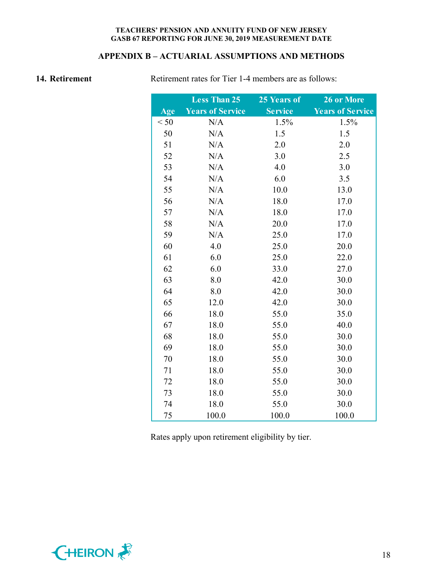# **APPENDIX B – ACTUARIAL ASSUMPTIONS AND METHODS**

**14. Retirement** Retirement rates for Tier 1-4 members are as follows:

|      | <b>Less Than 25</b>     | 25 Years of    | 26 or More              |
|------|-------------------------|----------------|-------------------------|
| Age  | <b>Years of Service</b> | <b>Service</b> | <b>Years of Service</b> |
| < 50 | N/A                     | 1.5%           | 1.5%                    |
| 50   | N/A                     | 1.5            | 1.5                     |
| 51   | N/A                     | 2.0            | 2.0                     |
| 52   | N/A                     | 3.0            | 2.5                     |
| 53   | N/A                     | 4.0            | 3.0                     |
| 54   | N/A                     | 6.0            | 3.5                     |
| 55   | N/A                     | 10.0           | 13.0                    |
| 56   | N/A                     | 18.0           | 17.0                    |
| 57   | N/A                     | 18.0           | 17.0                    |
| 58   | N/A                     | 20.0           | 17.0                    |
| 59   | N/A                     | 25.0           | 17.0                    |
| 60   | 4.0                     | 25.0           | 20.0                    |
| 61   | 6.0                     | 25.0           | 22.0                    |
| 62   | 6.0                     | 33.0           | 27.0                    |
| 63   | 8.0                     | 42.0           | 30.0                    |
| 64   | 8.0                     | 42.0           | 30.0                    |
| 65   | 12.0                    | 42.0           | 30.0                    |
| 66   | 18.0                    | 55.0           | 35.0                    |
| 67   | 18.0                    | 55.0           | 40.0                    |
| 68   | 18.0                    | 55.0           | 30.0                    |
| 69   | 18.0                    | 55.0           | 30.0                    |
| 70   | 18.0                    | 55.0           | 30.0                    |
| 71   | 18.0                    | 55.0           | 30.0                    |
| 72   | 18.0                    | 55.0           | 30.0                    |
| 73   | 18.0                    | 55.0           | 30.0                    |
| 74   | 18.0                    | 55.0           | 30.0                    |
| 75   | 100.0                   | 100.0          | 100.0                   |

Rates apply upon retirement eligibility by tier.

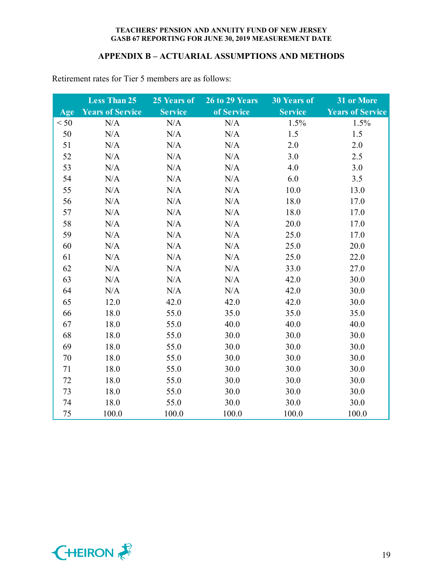# **APPENDIX B – ACTUARIAL ASSUMPTIONS AND METHODS**

|      | <b>Less Than 25</b>     | 25 Years of    | 26 to 29 Years | <b>30 Years of</b> | 31 or More              |
|------|-------------------------|----------------|----------------|--------------------|-------------------------|
| Age  | <b>Years of Service</b> | <b>Service</b> | of Service     | <b>Service</b>     | <b>Years of Service</b> |
| < 50 | N/A                     | N/A            | N/A            | 1.5%               | 1.5%                    |
| 50   | N/A                     | N/A            | N/A            | 1.5                | 1.5                     |
| 51   | N/A                     | N/A            | N/A            | 2.0                | 2.0                     |
| 52   | N/A                     | N/A            | N/A            | 3.0                | 2.5                     |
| 53   | N/A                     | N/A            | N/A            | 4.0                | 3.0                     |
| 54   | N/A                     | N/A            | N/A            | 6.0                | 3.5                     |
| 55   | N/A                     | N/A            | N/A            | 10.0               | 13.0                    |
| 56   | N/A                     | N/A            | N/A            | 18.0               | 17.0                    |
| 57   | N/A                     | N/A            | N/A            | 18.0               | 17.0                    |
| 58   | N/A                     | N/A            | N/A            | 20.0               | 17.0                    |
| 59   | N/A                     | N/A            | N/A            | 25.0               | 17.0                    |
| 60   | N/A                     | N/A            | N/A            | 25.0               | 20.0                    |
| 61   | N/A                     | N/A            | N/A            | 25.0               | 22.0                    |
| 62   | N/A                     | N/A            | N/A            | 33.0               | 27.0                    |
| 63   | N/A                     | N/A            | N/A            | 42.0               | 30.0                    |
| 64   | N/A                     | N/A            | N/A            | 42.0               | 30.0                    |
| 65   | 12.0                    | 42.0           | 42.0           | 42.0               | 30.0                    |
| 66   | 18.0                    | 55.0           | 35.0           | 35.0               | 35.0                    |
| 67   | 18.0                    | 55.0           | 40.0           | 40.0               | 40.0                    |
| 68   | 18.0                    | 55.0           | 30.0           | 30.0               | 30.0                    |
| 69   | 18.0                    | 55.0           | 30.0           | 30.0               | 30.0                    |
| 70   | 18.0                    | 55.0           | 30.0           | 30.0               | 30.0                    |
| 71   | 18.0                    | 55.0           | 30.0           | 30.0               | 30.0                    |
| 72   | 18.0                    | 55.0           | 30.0           | 30.0               | 30.0                    |
| 73   | 18.0                    | 55.0           | 30.0           | 30.0               | 30.0                    |
| 74   | 18.0                    | 55.0           | 30.0           | 30.0               | 30.0                    |
| 75   | 100.0                   | 100.0          | 100.0          | 100.0              | 100.0                   |

Retirement rates for Tier 5 members are as follows:

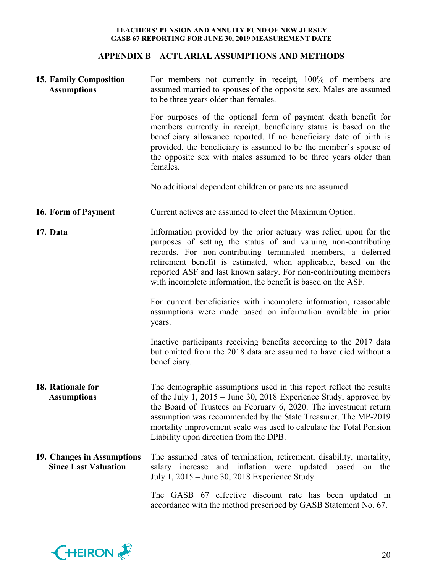# **APPENDIX B – ACTUARIAL ASSUMPTIONS AND METHODS**

| <b>15. Family Composition</b><br><b>Assumptions</b>       | For members not currently in receipt, 100% of members are<br>assumed married to spouses of the opposite sex. Males are assumed<br>to be three years older than females.                                                                                                                                                                                                                                    |  |  |  |  |
|-----------------------------------------------------------|------------------------------------------------------------------------------------------------------------------------------------------------------------------------------------------------------------------------------------------------------------------------------------------------------------------------------------------------------------------------------------------------------------|--|--|--|--|
|                                                           | For purposes of the optional form of payment death benefit for<br>members currently in receipt, beneficiary status is based on the<br>beneficiary allowance reported. If no beneficiary date of birth is<br>provided, the beneficiary is assumed to be the member's spouse of<br>the opposite sex with males assumed to be three years older than<br>females.                                              |  |  |  |  |
|                                                           | No additional dependent children or parents are assumed.                                                                                                                                                                                                                                                                                                                                                   |  |  |  |  |
| 16. Form of Payment                                       | Current actives are assumed to elect the Maximum Option.                                                                                                                                                                                                                                                                                                                                                   |  |  |  |  |
| 17. Data                                                  | Information provided by the prior actuary was relied upon for the<br>purposes of setting the status of and valuing non-contributing<br>records. For non-contributing terminated members, a deferred<br>retirement benefit is estimated, when applicable, based on the<br>reported ASF and last known salary. For non-contributing members<br>with incomplete information, the benefit is based on the ASF. |  |  |  |  |
|                                                           | For current beneficiaries with incomplete information, reasonable<br>assumptions were made based on information available in prior<br>years.                                                                                                                                                                                                                                                               |  |  |  |  |
|                                                           | Inactive participants receiving benefits according to the 2017 data<br>but omitted from the 2018 data are assumed to have died without a<br>beneficiary.                                                                                                                                                                                                                                                   |  |  |  |  |
| 18. Rationale for<br><b>Assumptions</b>                   | The demographic assumptions used in this report reflect the results<br>of the July 1, $2015 -$ June 30, 2018 Experience Study, approved by<br>the Board of Trustees on February 6, 2020. The investment return<br>assumption was recommended by the State Treasurer. The MP-2019<br>mortality improvement scale was used to calculate the Total Pension<br>Liability upon direction from the DPB.          |  |  |  |  |
| 19. Changes in Assumptions<br><b>Since Last Valuation</b> | The assumed rates of termination, retirement, disability, mortality,<br>salary increase and inflation were updated based on the<br>July 1, 2015 – June 30, 2018 Experience Study.                                                                                                                                                                                                                          |  |  |  |  |
|                                                           | The GASB 67 effective discount rate has been updated in<br>accordance with the method prescribed by GASB Statement No. 67.                                                                                                                                                                                                                                                                                 |  |  |  |  |

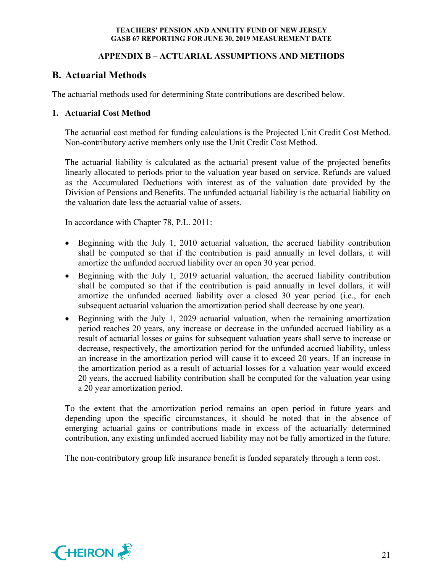# **APPENDIX B – ACTUARIAL ASSUMPTIONS AND METHODS**

# **B. Actuarial Methods**

The actuarial methods used for determining State contributions are described below.

# **1. Actuarial Cost Method**

The actuarial cost method for funding calculations is the Projected Unit Credit Cost Method. Non-contributory active members only use the Unit Credit Cost Method.

The actuarial liability is calculated as the actuarial present value of the projected benefits linearly allocated to periods prior to the valuation year based on service. Refunds are valued as the Accumulated Deductions with interest as of the valuation date provided by the Division of Pensions and Benefits. The unfunded actuarial liability is the actuarial liability on the valuation date less the actuarial value of assets.

In accordance with Chapter 78, P.L. 2011:

- Beginning with the July 1, 2010 actuarial valuation, the accrued liability contribution shall be computed so that if the contribution is paid annually in level dollars, it will amortize the unfunded accrued liability over an open 30 year period.
- Beginning with the July 1, 2019 actuarial valuation, the accrued liability contribution shall be computed so that if the contribution is paid annually in level dollars, it will amortize the unfunded accrued liability over a closed 30 year period (i.e., for each subsequent actuarial valuation the amortization period shall decrease by one year).
- Beginning with the July 1, 2029 actuarial valuation, when the remaining amortization period reaches 20 years, any increase or decrease in the unfunded accrued liability as a result of actuarial losses or gains for subsequent valuation years shall serve to increase or decrease, respectively, the amortization period for the unfunded accrued liability, unless an increase in the amortization period will cause it to exceed 20 years. If an increase in the amortization period as a result of actuarial losses for a valuation year would exceed 20 years, the accrued liability contribution shall be computed for the valuation year using a 20 year amortization period.

To the extent that the amortization period remains an open period in future years and depending upon the specific circumstances, it should be noted that in the absence of emerging actuarial gains or contributions made in excess of the actuarially determined contribution, any existing unfunded accrued liability may not be fully amortized in the future.

The non-contributory group life insurance benefit is funded separately through a term cost.

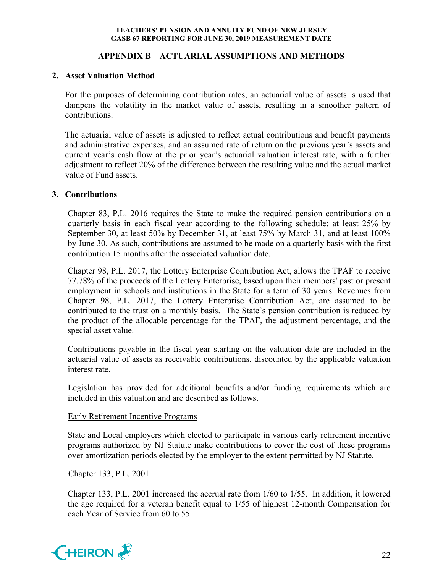# **APPENDIX B – ACTUARIAL ASSUMPTIONS AND METHODS**

# **2. Asset Valuation Method**

For the purposes of determining contribution rates, an actuarial value of assets is used that dampens the volatility in the market value of assets, resulting in a smoother pattern of contributions.

The actuarial value of assets is adjusted to reflect actual contributions and benefit payments and administrative expenses, and an assumed rate of return on the previous year's assets and current year's cash flow at the prior year's actuarial valuation interest rate, with a further adjustment to reflect 20% of the difference between the resulting value and the actual market value of Fund assets.

# **3. Contributions**

Chapter 83, P.L. 2016 requires the State to make the required pension contributions on a quarterly basis in each fiscal year according to the following schedule: at least 25% by September 30, at least 50% by December 31, at least 75% by March 31, and at least 100% by June 30. As such, contributions are assumed to be made on a quarterly basis with the first contribution 15 months after the associated valuation date.

Chapter 98, P.L. 2017, the Lottery Enterprise Contribution Act, allows the TPAF to receive 77.78% of the proceeds of the Lottery Enterprise, based upon their members' past or present employment in schools and institutions in the State for a term of 30 years. Revenues from Chapter 98, P.L. 2017, the Lottery Enterprise Contribution Act, are assumed to be contributed to the trust on a monthly basis. The State's pension contribution is reduced by the product of the allocable percentage for the TPAF, the adjustment percentage, and the special asset value.

Contributions payable in the fiscal year starting on the valuation date are included in the actuarial value of assets as receivable contributions, discounted by the applicable valuation interest rate.

Legislation has provided for additional benefits and/or funding requirements which are included in this valuation and are described as follows.

## Early Retirement Incentive Programs

State and Local employers which elected to participate in various early retirement incentive programs authorized by NJ Statute make contributions to cover the cost of these programs over amortization periods elected by the employer to the extent permitted by NJ Statute.

## Chapter 133, P.L. 2001

Chapter 133, P.L. 2001 increased the accrual rate from 1/60 to 1/55. In addition, it lowered the age required for a veteran benefit equal to 1/55 of highest 12-month Compensation for each Year of Service from 60 to 55.

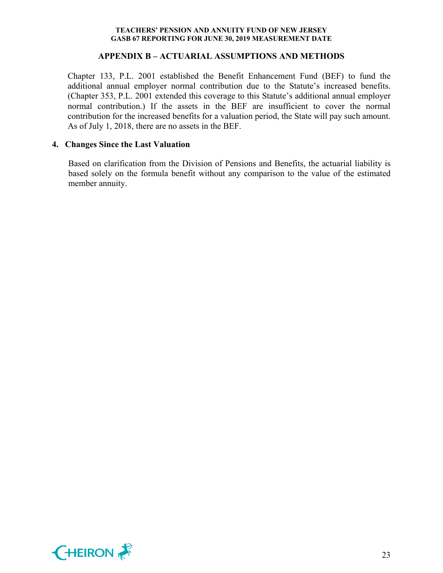## **APPENDIX B – ACTUARIAL ASSUMPTIONS AND METHODS**

Chapter 133, P.L. 2001 established the Benefit Enhancement Fund (BEF) to fund the additional annual employer normal contribution due to the Statute's increased benefits. (Chapter 353, P.L. 2001 extended this coverage to this Statute's additional annual employer normal contribution.) If the assets in the BEF are insufficient to cover the normal contribution for the increased benefits for a valuation period, the State will pay such amount. As of July 1, 2018, there are no assets in the BEF.

#### **4. Changes Since the Last Valuation**

Based on clarification from the Division of Pensions and Benefits, the actuarial liability is based solely on the formula benefit without any comparison to the value of the estimated member annuity.

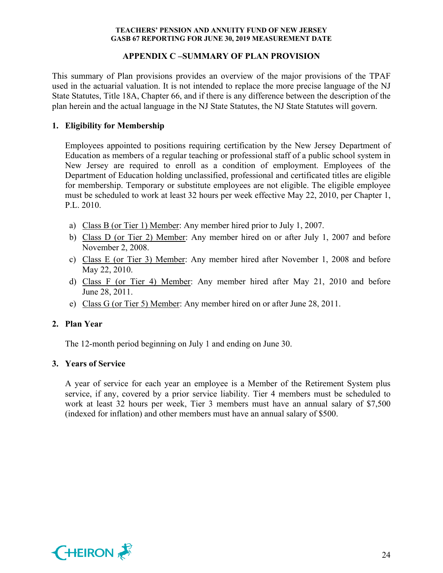# **APPENDIX C –SUMMARY OF PLAN PROVISION**

This summary of Plan provisions provides an overview of the major provisions of the TPAF used in the actuarial valuation. It is not intended to replace the more precise language of the NJ State Statutes, Title 18A, Chapter 66, and if there is any difference between the description of the plan herein and the actual language in the NJ State Statutes, the NJ State Statutes will govern.

# **1. Eligibility for Membership**

Employees appointed to positions requiring certification by the New Jersey Department of Education as members of a regular teaching or professional staff of a public school system in New Jersey are required to enroll as a condition of employment. Employees of the Department of Education holding unclassified, professional and certificated titles are eligible for membership. Temporary or substitute employees are not eligible. The eligible employee must be scheduled to work at least 32 hours per week effective May 22, 2010, per Chapter 1, P.L. 2010.

- a) Class B (or Tier 1) Member: Any member hired prior to July 1, 2007.
- b) Class D (or Tier 2) Member: Any member hired on or after July 1, 2007 and before November 2, 2008.
- c) Class E (or Tier 3) Member: Any member hired after November 1, 2008 and before May 22, 2010.
- d) Class F (or Tier 4) Member: Any member hired after May 21, 2010 and before June 28, 2011.
- e) Class G (or Tier 5) Member: Any member hired on or after June 28, 2011.

# **2. Plan Year**

The 12-month period beginning on July 1 and ending on June 30.

## **3. Years of Service**

A year of service for each year an employee is a Member of the Retirement System plus service, if any, covered by a prior service liability. Tier 4 members must be scheduled to work at least 32 hours per week, Tier 3 members must have an annual salary of \$7,500 (indexed for inflation) and other members must have an annual salary of \$500.

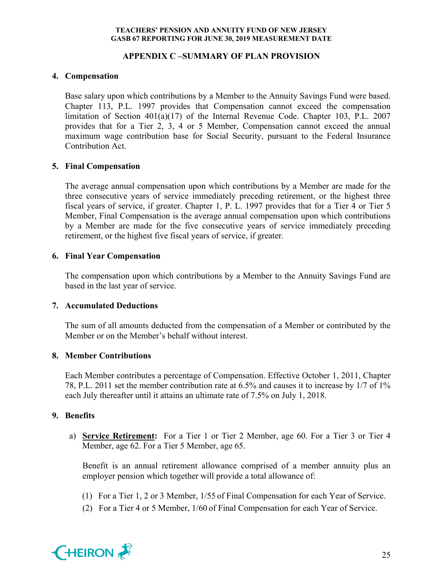# **APPENDIX C –SUMMARY OF PLAN PROVISION**

# **4. Compensation**

Base salary upon which contributions by a Member to the Annuity Savings Fund were based. Chapter 113, P.L. 1997 provides that Compensation cannot exceed the compensation limitation of Section 401(a)(17) of the Internal Revenue Code. Chapter 103, P.L. 2007 provides that for a Tier 2, 3, 4 or 5 Member, Compensation cannot exceed the annual maximum wage contribution base for Social Security, pursuant to the Federal Insurance Contribution Act.

# **5. Final Compensation**

The average annual compensation upon which contributions by a Member are made for the three consecutive years of service immediately preceding retirement, or the highest three fiscal years of service, if greater. Chapter 1, P. L. 1997 provides that for a Tier 4 or Tier 5 Member, Final Compensation is the average annual compensation upon which contributions by a Member are made for the five consecutive years of service immediately preceding retirement, or the highest five fiscal years of service, if greater.

# **6. Final Year Compensation**

The compensation upon which contributions by a Member to the Annuity Savings Fund are based in the last year of service.

# **7. Accumulated Deductions**

The sum of all amounts deducted from the compensation of a Member or contributed by the Member or on the Member's behalf without interest.

# **8. Member Contributions**

Each Member contributes a percentage of Compensation. Effective October 1, 2011, Chapter 78, P.L. 2011 set the member contribution rate at 6.5% and causes it to increase by 1/7 of 1% each July thereafter until it attains an ultimate rate of 7.5% on July 1, 2018.

# **9. Benefits**

a) **Service Retirement:** For a Tier 1 or Tier 2 Member, age 60. For a Tier 3 or Tier 4 Member, age 62. For a Tier 5 Member, age 65.

Benefit is an annual retirement allowance comprised of a member annuity plus an employer pension which together will provide a total allowance of:

- (1) For a Tier 1, 2 or 3 Member, 1/55 of Final Compensation for each Year of Service.
- (2) For a Tier 4 or 5 Member, 1/60 of Final Compensation for each Year of Service.

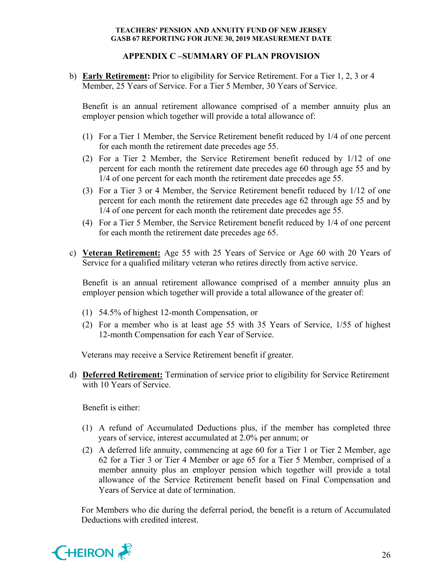# **APPENDIX C –SUMMARY OF PLAN PROVISION**

b) **Early Retirement:** Prior to eligibility for Service Retirement. For a Tier 1, 2, 3 or 4 Member, 25 Years of Service. For a Tier 5 Member, 30 Years of Service.

Benefit is an annual retirement allowance comprised of a member annuity plus an employer pension which together will provide a total allowance of:

- (1) For a Tier 1 Member, the Service Retirement benefit reduced by 1/4 of one percent for each month the retirement date precedes age 55.
- (2) For a Tier 2 Member, the Service Retirement benefit reduced by 1/12 of one percent for each month the retirement date precedes age 60 through age 55 and by 1/4 of one percent for each month the retirement date precedes age 55.
- (3) For a Tier 3 or 4 Member, the Service Retirement benefit reduced by 1/12 of one percent for each month the retirement date precedes age 62 through age 55 and by 1/4 of one percent for each month the retirement date precedes age 55.
- (4) For a Tier 5 Member, the Service Retirement benefit reduced by 1/4 of one percent for each month the retirement date precedes age 65.
- c) **Veteran Retirement:** Age 55 with 25 Years of Service or Age 60 with 20 Years of Service for a qualified military veteran who retires directly from active service.

Benefit is an annual retirement allowance comprised of a member annuity plus an employer pension which together will provide a total allowance of the greater of:

- (1) 54.5% of highest 12-month Compensation, or
- (2) For a member who is at least age 55 with 35 Years of Service, 1/55 of highest 12-month Compensation for each Year of Service.

Veterans may receive a Service Retirement benefit if greater.

d) **Deferred Retirement:** Termination of service prior to eligibility for Service Retirement with 10 Years of Service.

Benefit is either:

- (1) A refund of Accumulated Deductions plus, if the member has completed three years of service, interest accumulated at 2.0% per annum; or
- (2) A deferred life annuity, commencing at age 60 for a Tier 1 or Tier 2 Member, age 62 for a Tier 3 or Tier 4 Member or age 65 for a Tier 5 Member, comprised of a member annuity plus an employer pension which together will provide a total allowance of the Service Retirement benefit based on Final Compensation and Years of Service at date of termination.

For Members who die during the deferral period, the benefit is a return of Accumulated Deductions with credited interest.

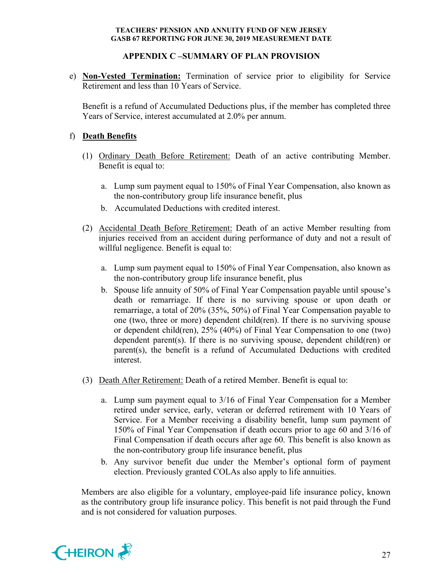# **APPENDIX C –SUMMARY OF PLAN PROVISION**

e) **Non-Vested Termination:** Termination of service prior to eligibility for Service Retirement and less than 10 Years of Service.

Benefit is a refund of Accumulated Deductions plus, if the member has completed three Years of Service, interest accumulated at 2.0% per annum.

# f) **Death Benefits**

- (1) Ordinary Death Before Retirement: Death of an active contributing Member. Benefit is equal to:
	- a. Lump sum payment equal to 150% of Final Year Compensation, also known as the non-contributory group life insurance benefit, plus
	- b. Accumulated Deductions with credited interest.
- (2) Accidental Death Before Retirement: Death of an active Member resulting from injuries received from an accident during performance of duty and not a result of willful negligence. Benefit is equal to:
	- a. Lump sum payment equal to 150% of Final Year Compensation, also known as the non-contributory group life insurance benefit, plus
	- b. Spouse life annuity of 50% of Final Year Compensation payable until spouse's death or remarriage. If there is no surviving spouse or upon death or remarriage, a total of 20% (35%, 50%) of Final Year Compensation payable to one (two, three or more) dependent child(ren). If there is no surviving spouse or dependent child(ren), 25% (40%) of Final Year Compensation to one (two) dependent parent(s). If there is no surviving spouse, dependent child(ren) or parent(s), the benefit is a refund of Accumulated Deductions with credited interest.
- (3) Death After Retirement: Death of a retired Member. Benefit is equal to:
	- a. Lump sum payment equal to 3/16 of Final Year Compensation for a Member retired under service, early, veteran or deferred retirement with 10 Years of Service. For a Member receiving a disability benefit, lump sum payment of 150% of Final Year Compensation if death occurs prior to age 60 and 3/16 of Final Compensation if death occurs after age 60. This benefit is also known as the non-contributory group life insurance benefit, plus
	- b. Any survivor benefit due under the Member's optional form of payment election. Previously granted COLAs also apply to life annuities.

Members are also eligible for a voluntary, employee-paid life insurance policy, known as the contributory group life insurance policy. This benefit is not paid through the Fund and is not considered for valuation purposes.

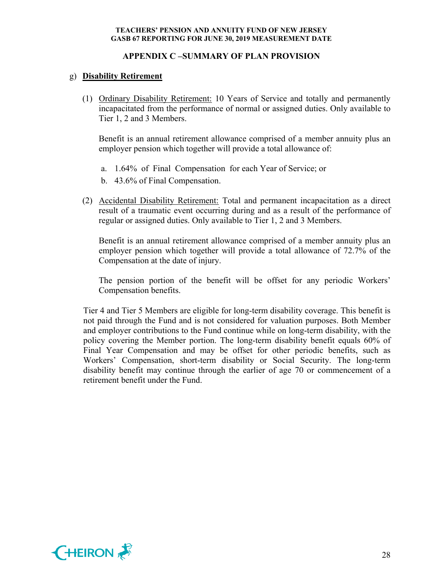# **APPENDIX C –SUMMARY OF PLAN PROVISION**

# g) **Disability Retirement**

(1) Ordinary Disability Retirement: 10 Years of Service and totally and permanently incapacitated from the performance of normal or assigned duties. Only available to Tier 1, 2 and 3 Members.

Benefit is an annual retirement allowance comprised of a member annuity plus an employer pension which together will provide a total allowance of:

- a. 1.64% of Final Compensation for each Year of Service; or
- b. 43.6% of Final Compensation.
- (2) Accidental Disability Retirement: Total and permanent incapacitation as a direct result of a traumatic event occurring during and as a result of the performance of regular or assigned duties. Only available to Tier 1, 2 and 3 Members.

Benefit is an annual retirement allowance comprised of a member annuity plus an employer pension which together will provide a total allowance of 72.7% of the Compensation at the date of injury.

The pension portion of the benefit will be offset for any periodic Workers' Compensation benefits.

Tier 4 and Tier 5 Members are eligible for long-term disability coverage. This benefit is not paid through the Fund and is not considered for valuation purposes. Both Member and employer contributions to the Fund continue while on long-term disability, with the policy covering the Member portion. The long-term disability benefit equals 60% of Final Year Compensation and may be offset for other periodic benefits, such as Workers' Compensation, short-term disability or Social Security. The long-term disability benefit may continue through the earlier of age 70 or commencement of a retirement benefit under the Fund.

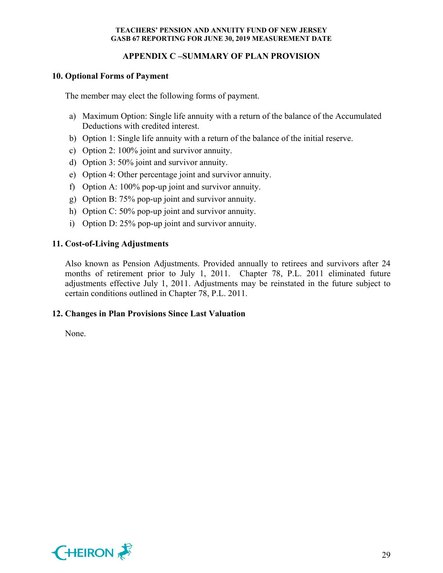# **APPENDIX C –SUMMARY OF PLAN PROVISION**

# **10. Optional Forms of Payment**

The member may elect the following forms of payment.

- a) Maximum Option: Single life annuity with a return of the balance of the Accumulated Deductions with credited interest.
- b) Option 1: Single life annuity with a return of the balance of the initial reserve.
- c) Option 2: 100% joint and survivor annuity.
- d) Option 3: 50% joint and survivor annuity.
- e) Option 4: Other percentage joint and survivor annuity.
- f) Option A: 100% pop-up joint and survivor annuity.
- g) Option B: 75% pop-up joint and survivor annuity.
- h) Option C: 50% pop-up joint and survivor annuity.
- i) Option D: 25% pop-up joint and survivor annuity.

# **11. Cost-of-Living Adjustments**

Also known as Pension Adjustments. Provided annually to retirees and survivors after 24 months of retirement prior to July 1, 2011. Chapter 78, P.L. 2011 eliminated future adjustments effective July 1, 2011. Adjustments may be reinstated in the future subject to certain conditions outlined in Chapter 78, P.L. 2011.

## **12. Changes in Plan Provisions Since Last Valuation**

None.

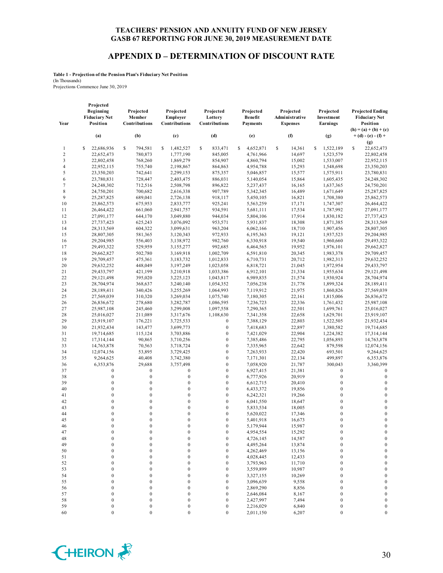#### **APPENDIX D – DETERMINATION OF DISCOUNT RATE**

**Table 1 - Projection of the Pension Plan's Fiduciary Net Position** (In Thousands)

Projections Commence June 30, 2019

| Year           | Projected<br>Beginning<br><b>Fiduciary Net</b><br>Position | Projected<br>Member<br>Contributions | Projected<br>Employer<br>Contributions | Projected<br>Lottery<br>Contributions | Projected<br><b>Benefit</b><br><b>Payments</b> | Projected<br>Administrative<br><b>Expenses</b> | Projected<br>Investment<br>Earnings  | <b>Projected Ending</b><br><b>Fiduciary Net</b><br>Position |
|----------------|------------------------------------------------------------|--------------------------------------|----------------------------------------|---------------------------------------|------------------------------------------------|------------------------------------------------|--------------------------------------|-------------------------------------------------------------|
|                | (a)                                                        | (b)                                  | (c)                                    | (d)                                   | (e)                                            | (f)                                            | (g)                                  | $(h) = (a) + (b) + (c)$<br>$+ (d) - (e) - (f) +$            |
|                |                                                            |                                      |                                        |                                       |                                                |                                                |                                      | (g)                                                         |
| $\mathbf{1}$   | \$<br>22,686,936                                           | s<br>794,581                         | \$<br>1,482,527                        | \$<br>833,471                         | S<br>4,652,871                                 | \$<br>14,361                                   | 1,522,189<br>\$                      | S<br>22,652,473                                             |
| $\overline{2}$ | 22,652,473                                                 | 780,873                              | 1,777,190                              | 845,005                               | 4,761,966                                      | 14,697                                         | 1,523,579                            | 22,802,458                                                  |
| 3              | 22,802,458                                                 | 768,260                              | 1,869,279                              | 854,907                               | 4,860,794                                      | 15,002                                         | 1,533,007                            | 22,952,115                                                  |
| $\overline{4}$ | 22,952,115                                                 | 755,740                              | 2,198,867                              | 864,863                               | 4,954,788                                      | 15,293                                         | 1,548,698                            | 23,350,203                                                  |
| 5              | 23,350,203                                                 | 742,641                              | 2,299,153                              | 875,357                               | 5,046,857                                      | 15,577                                         | 1,575,911                            | 23,780,831                                                  |
| 6              | 23,780,831                                                 | 728,447                              | 2,403,475                              | 886,031                               | 5,140,054                                      | 15,864                                         | 1,605,435                            | 24,248,302                                                  |
| $\overline{7}$ | 24,248,302                                                 | 712,516                              | 2,508,798                              | 896,822                               | 5,237,437                                      | 16,165                                         | 1,637,365                            | 24,750,201                                                  |
| 8              | 24,750,201                                                 | 700,682                              | 2,616,338                              | 907,789                               | 5,342,345                                      | 16,489                                         | 1,671,649                            | 25,287,825                                                  |
| 9              | 25,287,825                                                 | 689,041                              | 2,726,138                              | 918,117                               | 5,450,105                                      | 16,821                                         | 1,708,380                            | 25,862,573                                                  |
| 10             | 25,862,573                                                 | 675,953                              | 2,833,777                              | 925,241                               | 5,563,259                                      | 17,171                                         | 1,747,307                            | 26,464,422                                                  |
| 11             | 26,464,422                                                 | 661,060                              | 2,941,757                              | 934,591                               | 5,681,111                                      | 17,534                                         | 1,787,992                            | 27,091,177                                                  |
| 12             | 27,091,177                                                 | 644,170                              | 3,049,880                              | 944,034                               | 5,804,106                                      | 17,914                                         | 1,830,182                            | 27,737,423                                                  |
| 13             | 27,737,423                                                 | 625,243                              | 3,076,092                              | 953,571                               | 5,931,837                                      | 18,308                                         | 1,871,385                            | 28,313,569                                                  |
| 14             | 28,313,569                                                 | 604,322                              | 3,099,631                              | 963,204                               | 6,062,166                                      | 18,710                                         | 1,907,456                            | 28,807,305                                                  |
| 15             | 28,807,305                                                 | 581,365                              | 3,120,343                              | 972,933                               | 6,195,363                                      | 19,121                                         | 1,937,523                            | 29,204,985                                                  |
| 16             | 29,204,985                                                 | 556,403                              | 3,138,972                              | 982,760                               | 6,330,918                                      | 19,540                                         | 1,960,660                            | 29,493,322                                                  |
| 17<br>18       | 29,493,322                                                 | 529,959                              | 3,155,277                              | 992,685                               | 6,464,565                                      | 19,952                                         | 1,976,101                            | 29,662,827                                                  |
| 19             | 29,662,827<br>29,709,457                                   | 502,780<br>475,361                   | 3,169,918<br>3,183,732                 | 1,002,709<br>1,012,833                | 6,591,810<br>6,710,731                         | 20,345<br>20,712                               | 1,983,378                            | 29,709,457<br>29,632,252                                    |
| 20             | 29,632,252                                                 | 448,049                              | 3,197,249                              | 1,023,058                             | 6,818,721                                      | 21,045                                         | 1,982,313<br>1,972,954               | 29,433,797                                                  |
| 21             | 29,433,797                                                 | 421,199                              | 3,210,918                              | 1,033,386                             | 6,912,101                                      | 21,334                                         | 1,955,634                            | 29,121,498                                                  |
| 22             | 29,121,498                                                 | 395,020                              | 3,225,123                              | 1,043,817                             | 6,989,835                                      | 21,574                                         | 1,930,924                            | 28,704,974                                                  |
| 23             | 28,704,974                                                 | 368,637                              | 3,240,140                              | 1,054,352                             | 7,056,238                                      | 21,778                                         | 1,899,324                            | 28,189,411                                                  |
| 24             | 28,189,411                                                 | 340,426                              | 3,255,269                              | 1,064,993                             | 7,119,912                                      | 21,975                                         | 1,860,826                            | 27,569,039                                                  |
| 25             | 27,569,039                                                 | 310,320                              | 3,269,034                              | 1,075,740                             | 7,180,305                                      | 22,161                                         | 1,815,006                            | 26,836,672                                                  |
| 26             | 26,836,672                                                 | 278,680                              | 3,282,787                              | 1,086,595                             | 7,236,723                                      | 22,336                                         | 1,761,432                            | 25,987,108                                                  |
| 27             | 25,987,108                                                 | 245,460                              | 3,299,008                              | 1,097,558                             | 7,290,365                                      | 22,501                                         | 1,699,761                            | 25,016,027                                                  |
| 28             | 25,016,027                                                 | 211,089                              | 3,317,676                              | 1,108,630                             | 7,341,358                                      | 22,658                                         | 1,629,701                            | 23,919,107                                                  |
| 29             | 23,919,107                                                 | 176,221                              | 3,725,533                              | $\boldsymbol{0}$                      | 7,388,129                                      | 22,803                                         | 1,522,505                            | 21,932,434                                                  |
| 30             | 21,932,434                                                 | 143,477                              | 3,699,773                              | $\boldsymbol{0}$                      | 7,418,683                                      | 22,897                                         | 1,380,582                            | 19,714,685                                                  |
| 31             | 19,714,685                                                 | 115,124                              | 3,703,886                              | $\boldsymbol{0}$                      | 7,421,029                                      | 22,904                                         | 1,224,382                            | 17,314,144                                                  |
| 32             | 17,314,144                                                 | 90,865                               | 3,710,256                              | $\boldsymbol{0}$                      | 7,385,486                                      | 22,795                                         | 1,056,893                            | 14,763,878                                                  |
| 33             | 14,763,878                                                 | 70,563                               | 3,718,724                              | $\boldsymbol{0}$                      | 7,335,965                                      | 22,642                                         | 879,598                              | 12,074,156                                                  |
| 34             | 12,074,156                                                 | 53,895                               | 3,729,425                              | $\boldsymbol{0}$                      | 7,263,933                                      | 22,420                                         | 693,501                              | 9,264,625                                                   |
| 35             | 9,264,625                                                  | 40,408                               | 3,742,380                              | $\boldsymbol{0}$                      | 7,171,301                                      | 22,134                                         | 499,897                              | 6,353,876                                                   |
| 36             | 6,353,876                                                  | 29,688                               | 3,757,498                              | $\boldsymbol{0}$                      | 7,058,920                                      | 21,787                                         | 300,043                              | 3,360,399                                                   |
| 37             | $\boldsymbol{0}$                                           | $\boldsymbol{0}$                     | $\bf{0}$                               | $\boldsymbol{0}$                      | 6,927,415                                      | 21,381                                         | $\boldsymbol{0}$                     | $\bf{0}$                                                    |
| 38             | $\boldsymbol{0}$                                           | $\boldsymbol{0}$                     | $\boldsymbol{0}$                       | $\boldsymbol{0}$                      | 6,777,926                                      | 20,919                                         | $\boldsymbol{0}$                     | $\boldsymbol{0}$                                            |
| 39             | $\boldsymbol{0}$                                           | $\boldsymbol{0}$                     | $\boldsymbol{0}$                       | $\boldsymbol{0}$                      | 6,612,715                                      | 20,410                                         | $\boldsymbol{0}$                     | $\boldsymbol{0}$                                            |
| 40             | $\boldsymbol{0}$                                           | $\boldsymbol{0}$                     | $\boldsymbol{0}$                       | $\boldsymbol{0}$                      | 6,433,372                                      | 19,856                                         | $\boldsymbol{0}$                     | $\boldsymbol{0}$                                            |
| 41             | $\boldsymbol{0}$                                           | $\boldsymbol{0}$                     | $\boldsymbol{0}$                       | $\boldsymbol{0}$                      | 6,242,321                                      | 19,266                                         | $\boldsymbol{0}$                     | $\boldsymbol{0}$                                            |
| 42             | $\boldsymbol{0}$                                           | $\boldsymbol{0}$                     | $\boldsymbol{0}$                       | $\boldsymbol{0}$                      | 6,041,550                                      | 18,647                                         | $\boldsymbol{0}$                     | $\boldsymbol{0}$                                            |
| 43<br>44       | $\boldsymbol{0}$<br>$\boldsymbol{0}$                       | $\boldsymbol{0}$<br>$\mathbf{0}$     | $\boldsymbol{0}$<br>$\boldsymbol{0}$   | $\boldsymbol{0}$<br>$\mathbf{0}$      | 5,833,534                                      | 18,005<br>17,346                               | $\boldsymbol{0}$<br>$\boldsymbol{0}$ | $\boldsymbol{0}$<br>$\mathbf 0$                             |
| 45             | $\mathbf{0}$                                               | $\mathbf{0}$                         | $\mathbf{0}$                           | $\mathbf{0}$                          | 5,620,022                                      |                                                | $\boldsymbol{0}$                     | $\boldsymbol{0}$                                            |
| 46             | $\Omega$                                                   | $\Omega$                             | $\theta$                               | $\mathbf{0}$                          | 5,401,918<br>5,179,944                         | 16,673                                         | $\Omega$                             | $\Omega$                                                    |
| 47             | $\boldsymbol{0}$                                           | $\boldsymbol{0}$                     | $\boldsymbol{0}$                       | $\boldsymbol{0}$                      | 4,954,554                                      | 15,987<br>15,292                               | $\boldsymbol{0}$                     | $\boldsymbol{0}$                                            |
| 48             | $\boldsymbol{0}$                                           | $\boldsymbol{0}$                     | $\boldsymbol{0}$                       | $\boldsymbol{0}$                      | 4,726,145                                      | 14,587                                         | $\boldsymbol{0}$                     | $\boldsymbol{0}$                                            |
| 49             | $\boldsymbol{0}$                                           | $\boldsymbol{0}$                     | $\boldsymbol{0}$                       | $\boldsymbol{0}$                      | 4,495,264                                      | 13,874                                         | $\boldsymbol{0}$                     | $\boldsymbol{0}$                                            |
| 50             | $\boldsymbol{0}$                                           | $\boldsymbol{0}$                     | $\bf{0}$                               | $\boldsymbol{0}$                      | 4,262,469                                      | 13,156                                         | $\boldsymbol{0}$                     | $\boldsymbol{0}$                                            |
| 51             | $\boldsymbol{0}$                                           | 0                                    | $\boldsymbol{0}$                       | $\boldsymbol{0}$                      | 4,028,445                                      | 12,433                                         | $\boldsymbol{0}$                     | $\boldsymbol{0}$                                            |
| 52             | $\boldsymbol{0}$                                           | $\boldsymbol{0}$                     | $\boldsymbol{0}$                       | $\boldsymbol{0}$                      | 3,793,963                                      | 11,710                                         | $\boldsymbol{0}$                     | $\boldsymbol{0}$                                            |
| 53             | 0                                                          | $\boldsymbol{0}$                     | $\bf{0}$                               | $\boldsymbol{0}$                      | 3,559,899                                      | 10,987                                         | $\boldsymbol{0}$                     | $\boldsymbol{0}$                                            |
| 54             | $\boldsymbol{0}$                                           | $\boldsymbol{0}$                     | $\mathbf{0}$                           | $\boldsymbol{0}$                      | 3,327,155                                      | 10,269                                         | $\boldsymbol{0}$                     | $\boldsymbol{0}$                                            |
| 55             | $\mathbf{0}$                                               | $\boldsymbol{0}$                     | $\boldsymbol{0}$                       | $\boldsymbol{0}$                      | 3,096,639                                      | 9,558                                          | $\boldsymbol{0}$                     | $\boldsymbol{0}$                                            |
| 56             | $\boldsymbol{0}$                                           | $\boldsymbol{0}$                     | $\boldsymbol{0}$                       | $\boldsymbol{0}$                      | 2,869,290                                      | 8,856                                          | $\boldsymbol{0}$                     | $\boldsymbol{0}$                                            |
| 57             | $\boldsymbol{0}$                                           | $\boldsymbol{0}$                     | $\boldsymbol{0}$                       | $\boldsymbol{0}$                      | 2,646,084                                      | 8,167                                          | $\boldsymbol{0}$                     | $\boldsymbol{0}$                                            |
| 58             | $\boldsymbol{0}$                                           | $\boldsymbol{0}$                     | $\boldsymbol{0}$                       | $\boldsymbol{0}$                      | 2,427,997                                      | 7,494                                          | $\boldsymbol{0}$                     | $\boldsymbol{0}$                                            |
| 59             | $\boldsymbol{0}$                                           | $\boldsymbol{0}$                     | $\bf{0}$                               | $\boldsymbol{0}$                      | 2,216,029                                      | 6,840                                          | $\boldsymbol{0}$                     | $\boldsymbol{0}$                                            |
| 60             | $\boldsymbol{0}$                                           | $\overline{0}$                       | $\mathbf{0}$                           | $\boldsymbol{0}$                      | 2,011,150                                      | 6,207                                          | $\boldsymbol{0}$                     | $\boldsymbol{0}$                                            |

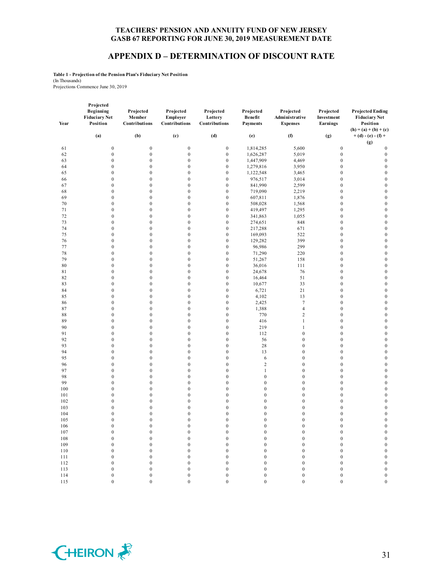#### **APPENDIX D – DETERMINATION OF DISCOUNT RATE**

**Table 1 - Projection of the Pension Plan's Fiduciary Net Position** (In Thousands)

Projections Commence June 30, 2019

|            | Projected                                     |                                      |                                        |                                       |                                         |                                                |                                      |                                                             |
|------------|-----------------------------------------------|--------------------------------------|----------------------------------------|---------------------------------------|-----------------------------------------|------------------------------------------------|--------------------------------------|-------------------------------------------------------------|
| Year       | Beginning<br><b>Fiduciary Net</b><br>Position | Projected<br>Member<br>Contributions | Projected<br>Employer<br>Contributions | Projected<br>Lottery<br>Contributions | Projected<br>Benefit<br><b>Payments</b> | Projected<br>Administrative<br><b>Expenses</b> | Projected<br>Investment<br>Earnings  | <b>Projected Ending</b><br><b>Fiduciary Net</b><br>Position |
|            |                                               |                                      |                                        |                                       |                                         |                                                |                                      | $(h) = (a) + (b) + (c)$                                     |
|            | (a)                                           | (b)                                  | (c)                                    | (d)                                   | (e)                                     | (f)                                            | (g)                                  | $+ (d) - (e) - (f) +$<br>(g)                                |
| 61         | $\boldsymbol{0}$                              | $\boldsymbol{0}$                     | $\boldsymbol{0}$                       | $\boldsymbol{0}$                      | 1,814,285                               | 5,600                                          | $\boldsymbol{0}$                     | $\bf{0}$                                                    |
| 62         | $\boldsymbol{0}$                              | $\boldsymbol{0}$                     | $\boldsymbol{0}$                       | $\boldsymbol{0}$                      | 1,626,287                               | 5,019                                          | $\boldsymbol{0}$                     | $\boldsymbol{0}$                                            |
| 63         | $\boldsymbol{0}$                              | $\boldsymbol{0}$                     | $\boldsymbol{0}$                       | $\boldsymbol{0}$                      | 1,447,909                               | 4,469                                          | $\boldsymbol{0}$                     | $\boldsymbol{0}$                                            |
| 64         | $\boldsymbol{0}$                              | $\boldsymbol{0}$                     | $\boldsymbol{0}$                       | $\boldsymbol{0}$                      | 1,279,816                               | 3,950                                          | $\boldsymbol{0}$                     | $\boldsymbol{0}$                                            |
| 65         | $\boldsymbol{0}$                              | $\boldsymbol{0}$                     | $\boldsymbol{0}$                       | $\boldsymbol{0}$                      | 1,122,548                               | 3,465                                          | $\boldsymbol{0}$                     | $\boldsymbol{0}$                                            |
| 66         | $\boldsymbol{0}$                              | $\boldsymbol{0}$                     | $\boldsymbol{0}$                       | $\boldsymbol{0}$                      | 976,517                                 | 3,014                                          | $\boldsymbol{0}$                     | $\boldsymbol{0}$                                            |
| 67         | $\boldsymbol{0}$                              | $\boldsymbol{0}$                     | $\boldsymbol{0}$                       | $\boldsymbol{0}$                      | 841,990                                 | 2,599                                          | $\boldsymbol{0}$                     | $\boldsymbol{0}$                                            |
| 68         | $\boldsymbol{0}$                              | $\boldsymbol{0}$                     | $\boldsymbol{0}$                       | $\boldsymbol{0}$                      | 719,090                                 | 2,219                                          | $\boldsymbol{0}$                     | $\boldsymbol{0}$                                            |
| 69         | $\boldsymbol{0}$                              | $\boldsymbol{0}$                     | $\boldsymbol{0}$                       | $\boldsymbol{0}$                      | 607,811                                 | 1,876                                          | $\boldsymbol{0}$                     | $\boldsymbol{0}$                                            |
| 70         | $\boldsymbol{0}$                              | $\boldsymbol{0}$                     | $\boldsymbol{0}$                       | $\boldsymbol{0}$                      | 508,028                                 | 1,568                                          | $\boldsymbol{0}$                     | $\boldsymbol{0}$                                            |
| 71         | $\boldsymbol{0}$                              | $\boldsymbol{0}$<br>$\boldsymbol{0}$ | $\boldsymbol{0}$                       | $\boldsymbol{0}$<br>$\boldsymbol{0}$  | 419,497                                 | 1,295                                          | $\boldsymbol{0}$<br>$\boldsymbol{0}$ | $\boldsymbol{0}$<br>$\boldsymbol{0}$                        |
| 72<br>73   | $\boldsymbol{0}$<br>$\boldsymbol{0}$          | $\boldsymbol{0}$                     | $\boldsymbol{0}$<br>$\boldsymbol{0}$   | $\boldsymbol{0}$                      | 341,863                                 | 1,055<br>848                                   | $\boldsymbol{0}$                     | $\boldsymbol{0}$                                            |
| 74         | $\boldsymbol{0}$                              | $\boldsymbol{0}$                     | $\boldsymbol{0}$                       | $\boldsymbol{0}$                      | 274,651<br>217,288                      | 671                                            | $\boldsymbol{0}$                     | $\boldsymbol{0}$                                            |
| 75         | $\boldsymbol{0}$                              | $\boldsymbol{0}$                     | $\boldsymbol{0}$                       | $\boldsymbol{0}$                      | 169,093                                 | 522                                            | $\boldsymbol{0}$                     | $\boldsymbol{0}$                                            |
| 76         | $\boldsymbol{0}$                              | $\boldsymbol{0}$                     | $\boldsymbol{0}$                       | $\boldsymbol{0}$                      | 129,282                                 | 399                                            | $\boldsymbol{0}$                     | $\boldsymbol{0}$                                            |
| 77         | $\boldsymbol{0}$                              | $\boldsymbol{0}$                     | $\boldsymbol{0}$                       | $\boldsymbol{0}$                      | 96,986                                  | 299                                            | $\boldsymbol{0}$                     | $\boldsymbol{0}$                                            |
| 78         | $\boldsymbol{0}$                              | $\boldsymbol{0}$                     | $\boldsymbol{0}$                       | $\boldsymbol{0}$                      | 71,290                                  | 220                                            | $\boldsymbol{0}$                     | $\boldsymbol{0}$                                            |
| 79         | $\boldsymbol{0}$                              | $\boldsymbol{0}$                     | $\boldsymbol{0}$                       | $\boldsymbol{0}$                      | 51,267                                  | 158                                            | $\boldsymbol{0}$                     | $\boldsymbol{0}$                                            |
| 80         | $\boldsymbol{0}$                              | $\boldsymbol{0}$                     | $\boldsymbol{0}$                       | $\boldsymbol{0}$                      | 36,016                                  | 111                                            | $\boldsymbol{0}$                     | $\boldsymbol{0}$                                            |
| 81         | $\boldsymbol{0}$                              | $\boldsymbol{0}$                     | $\boldsymbol{0}$                       | $\boldsymbol{0}$                      | 24,678                                  | 76                                             | $\boldsymbol{0}$                     | $\boldsymbol{0}$                                            |
| 82         | $\boldsymbol{0}$                              | $\boldsymbol{0}$                     | $\boldsymbol{0}$                       | $\boldsymbol{0}$                      | 16,464                                  | 51                                             | $\boldsymbol{0}$                     | $\boldsymbol{0}$                                            |
| 83         | $\boldsymbol{0}$                              | $\boldsymbol{0}$                     | $\boldsymbol{0}$                       | $\boldsymbol{0}$                      | 10,677                                  | 33                                             | $\boldsymbol{0}$                     | $\boldsymbol{0}$                                            |
| 84         | $\boldsymbol{0}$                              | $\boldsymbol{0}$                     | $\boldsymbol{0}$                       | $\boldsymbol{0}$                      | 6,721                                   | 21                                             | $\boldsymbol{0}$                     | $\boldsymbol{0}$                                            |
| 85         | $\boldsymbol{0}$                              | $\boldsymbol{0}$                     | $\boldsymbol{0}$                       | $\boldsymbol{0}$                      | 4,102                                   | 13                                             | $\boldsymbol{0}$                     | $\boldsymbol{0}$                                            |
| 86         | $\boldsymbol{0}$                              | $\boldsymbol{0}$                     | $\boldsymbol{0}$                       | $\boldsymbol{0}$                      | 2,425                                   | $\tau$                                         | $\boldsymbol{0}$                     | $\boldsymbol{0}$                                            |
| 87         | $\boldsymbol{0}$                              | $\boldsymbol{0}$                     | $\boldsymbol{0}$                       | $\boldsymbol{0}$                      | 1,388                                   | $\overline{4}$                                 | $\boldsymbol{0}$                     | $\boldsymbol{0}$                                            |
| 88         | $\boldsymbol{0}$                              | $\boldsymbol{0}$                     | $\boldsymbol{0}$                       | $\boldsymbol{0}$                      | 770                                     | $\sqrt{2}$                                     | $\boldsymbol{0}$                     | $\boldsymbol{0}$                                            |
| 89         | $\boldsymbol{0}$                              | $\boldsymbol{0}$                     | $\boldsymbol{0}$                       | $\boldsymbol{0}$                      | 416                                     | $\mathbf{1}$                                   | $\boldsymbol{0}$                     | $\boldsymbol{0}$                                            |
| 90         | $\boldsymbol{0}$                              | $\boldsymbol{0}$                     | $\boldsymbol{0}$                       | $\boldsymbol{0}$                      | 219                                     | $\mathbf{1}$                                   | $\boldsymbol{0}$                     | $\boldsymbol{0}$                                            |
| 91         | $\boldsymbol{0}$                              | $\boldsymbol{0}$                     | $\boldsymbol{0}$                       | $\boldsymbol{0}$                      | 112                                     | $\boldsymbol{0}$                               | $\boldsymbol{0}$                     | $\boldsymbol{0}$                                            |
| 92         | $\boldsymbol{0}$                              | $\boldsymbol{0}$                     | $\boldsymbol{0}$                       | $\boldsymbol{0}$                      | 56                                      | $\boldsymbol{0}$                               | $\boldsymbol{0}$                     | $\boldsymbol{0}$                                            |
| 93         | $\boldsymbol{0}$                              | $\boldsymbol{0}$                     | $\boldsymbol{0}$                       | $\boldsymbol{0}$                      | 28                                      | $\boldsymbol{0}$                               | $\boldsymbol{0}$                     | $\boldsymbol{0}$                                            |
| 94         | $\boldsymbol{0}$                              | $\boldsymbol{0}$                     | $\boldsymbol{0}$                       | $\boldsymbol{0}$                      | 13                                      | $\boldsymbol{0}$                               | $\bf{0}$                             | $\boldsymbol{0}$                                            |
| 95         | $\boldsymbol{0}$                              | $\boldsymbol{0}$                     | $\boldsymbol{0}$                       | $\mathbf{0}$                          | 6                                       | $\boldsymbol{0}$                               | $\boldsymbol{0}$                     | $\boldsymbol{0}$                                            |
| 96         | $\boldsymbol{0}$                              | $\boldsymbol{0}$                     | $\boldsymbol{0}$                       | $\boldsymbol{0}$                      | $\overline{c}$                          | $\boldsymbol{0}$                               | $\boldsymbol{0}$                     | $\boldsymbol{0}$                                            |
| 97         | $\boldsymbol{0}$                              | $\boldsymbol{0}$                     | $\boldsymbol{0}$                       | $\mathbf{0}$                          | $\mathbf{1}$                            | $\boldsymbol{0}$                               | $\boldsymbol{0}$                     | $\boldsymbol{0}$                                            |
| 98         | $\boldsymbol{0}$                              | $\boldsymbol{0}$                     | $\boldsymbol{0}$                       | $\boldsymbol{0}$                      | $\boldsymbol{0}$                        | $\boldsymbol{0}$                               | $\boldsymbol{0}$                     | $\boldsymbol{0}$                                            |
| 99         | $\boldsymbol{0}$                              | $\boldsymbol{0}$                     | $\boldsymbol{0}$                       | $\boldsymbol{0}$                      | $\boldsymbol{0}$                        | $\boldsymbol{0}$                               | $\boldsymbol{0}$                     | $\boldsymbol{0}$                                            |
| 100        | $\boldsymbol{0}$                              | $\boldsymbol{0}$                     | $\boldsymbol{0}$                       | $\boldsymbol{0}$                      | $\boldsymbol{0}$                        | $\boldsymbol{0}$                               | $\boldsymbol{0}$                     | $\boldsymbol{0}$                                            |
| 101        | $\boldsymbol{0}$                              | $\boldsymbol{0}$                     | $\boldsymbol{0}$                       | $\mathbf{0}$                          | $\boldsymbol{0}$                        | $\boldsymbol{0}$                               | $\bf{0}$                             | $\boldsymbol{0}$                                            |
| 102        | $\boldsymbol{0}$                              | $\boldsymbol{0}$                     | $\boldsymbol{0}$                       | $\mathbf{0}$                          | $\boldsymbol{0}$                        | $\boldsymbol{0}$                               | $\boldsymbol{0}$                     | $\boldsymbol{0}$                                            |
| 103        | $\boldsymbol{0}$                              | $\boldsymbol{0}$                     | $\boldsymbol{0}$                       | $\mathbf{0}$                          | $\boldsymbol{0}$                        | $\boldsymbol{0}$                               | $\boldsymbol{0}$                     | $\boldsymbol{0}$                                            |
| 104        | $\boldsymbol{0}$                              | $\boldsymbol{0}$                     | $\boldsymbol{0}$                       | $\boldsymbol{0}$                      | $\boldsymbol{0}$                        | $\boldsymbol{0}$                               | $\boldsymbol{0}$                     | $\boldsymbol{0}$                                            |
| 105        | $\boldsymbol{0}$                              | $\boldsymbol{0}$                     | $\boldsymbol{0}$                       | $\boldsymbol{0}$                      | $\boldsymbol{0}$                        | $\boldsymbol{0}$                               | $\boldsymbol{0}$                     | $\boldsymbol{0}$                                            |
| 106        | $\mathbf{0}$                                  | $\mathbf{0}$                         | $\mathbf{0}$                           | $\mathbf{0}$                          | $\mathbf{0}$                            | $\mathbf{0}$                                   | $\mathbf{0}$                         | $\mathbf{0}$                                                |
| 107        | $\boldsymbol{0}$                              | $\boldsymbol{0}$                     | $\boldsymbol{0}$                       | $\boldsymbol{0}$                      | $\boldsymbol{0}$                        | $\boldsymbol{0}$                               | $\boldsymbol{0}$                     | $\boldsymbol{0}$                                            |
| $108\,$    | $\boldsymbol{0}$                              | $\boldsymbol{0}$                     | $\boldsymbol{0}$                       | $\boldsymbol{0}$                      | $\boldsymbol{0}$                        | $\boldsymbol{0}$                               | $\boldsymbol{0}$                     | $\boldsymbol{0}$                                            |
| 109        | $\boldsymbol{0}$                              | $\boldsymbol{0}$                     | $\boldsymbol{0}$                       | $\boldsymbol{0}$                      | $\boldsymbol{0}$                        | $\boldsymbol{0}$                               | $\boldsymbol{0}$                     | $\boldsymbol{0}$                                            |
| 110        | $\boldsymbol{0}$                              | $\boldsymbol{0}$                     | $\boldsymbol{0}$                       | $\boldsymbol{0}$                      | $\boldsymbol{0}$                        | $\boldsymbol{0}$                               | $\boldsymbol{0}$                     | $\boldsymbol{0}$                                            |
| 111        | $\boldsymbol{0}$                              | $\boldsymbol{0}$<br>$\boldsymbol{0}$ | $\boldsymbol{0}$                       | $\boldsymbol{0}$                      | $\boldsymbol{0}$                        | $\boldsymbol{0}$                               | $\boldsymbol{0}$                     | $\boldsymbol{0}$                                            |
| 112        | $\boldsymbol{0}$                              | $\boldsymbol{0}$                     | $\boldsymbol{0}$                       | $\boldsymbol{0}$                      | $\boldsymbol{0}$                        | $\boldsymbol{0}$                               | $\boldsymbol{0}$                     | $\boldsymbol{0}$<br>$\boldsymbol{0}$                        |
| 113<br>114 | $\boldsymbol{0}$<br>$\boldsymbol{0}$          | $\boldsymbol{0}$                     | $\boldsymbol{0}$<br>$\boldsymbol{0}$   | $\boldsymbol{0}$<br>$\boldsymbol{0}$  | $\boldsymbol{0}$<br>$\boldsymbol{0}$    | $\boldsymbol{0}$<br>$\boldsymbol{0}$           | $\boldsymbol{0}$<br>$\boldsymbol{0}$ | $\boldsymbol{0}$                                            |
| 115        | $\mathbf 0$                                   | $\boldsymbol{0}$                     | $\boldsymbol{0}$                       | $\boldsymbol{0}$                      | $\boldsymbol{0}$                        | $\boldsymbol{0}$                               | $\boldsymbol{0}$                     | $\boldsymbol{0}$                                            |
|            |                                               |                                      |                                        |                                       |                                         |                                                |                                      |                                                             |

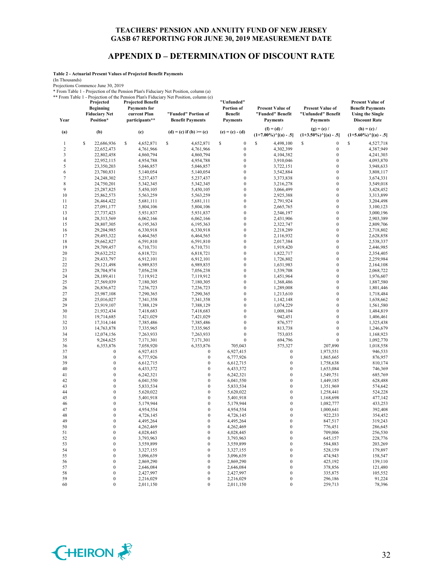#### **APPENDIX D – DETERMINATION OF DISCOUNT RATE**

**Table 2 - Actuarial Present Values of Projected Benefit Payments**

(In Thousands)

Projections Commence June 30, 2019

\* From Table 1 - Projection of the Pension Plan's Fiduciary Net Position, column (a)

\*\* From Table 1 - Projection of the Pension Plan's Fiduciary Net Position, column (e) **Projected Projected Benefit "Unfunded"** 

| Year                    | Projected<br><b>Beginning</b><br><b>Fiduciary Net</b><br>Position* | <b>Projected Benefit</b><br><b>Payments</b> for<br>current Plan<br>participants** | Tront Table 1 - I folcomon of the Pension Plan's Plancial y Net Position, column (e)<br>"Funded" Portion of<br><b>Benefit Payments</b> | "Unfunded"<br>Portion of<br><b>Benefit</b><br><b>Payments</b> | <b>Present Value of</b><br>"Funded" Benefit<br><b>Payments</b> | <b>Present Value of</b><br>"Unfunded" Benefit<br><b>Payments</b> | <b>Present Value of</b><br><b>Benefit Payments</b><br><b>Using the Single</b><br><b>Discount Rate</b> |
|-------------------------|--------------------------------------------------------------------|-----------------------------------------------------------------------------------|----------------------------------------------------------------------------------------------------------------------------------------|---------------------------------------------------------------|----------------------------------------------------------------|------------------------------------------------------------------|-------------------------------------------------------------------------------------------------------|
| (a)                     | (b)                                                                | (c)                                                                               | (d) = (c) if (b) >= (c)                                                                                                                | $(e) = (c) - (d)$                                             | $(f) = (d) /$                                                  | $(g) = (e) /$                                                    | $(h) = (c) /$                                                                                         |
|                         |                                                                    |                                                                                   |                                                                                                                                        |                                                               | $(1+7.00\%)$ <sup>^</sup> [(a) - .5]                           | $(1+3.50\%)$ <sup><math>\land</math></sup> [(a) - .5]            | $(1+5.60\%)$ <sup>^</sup> [(a) - .5]                                                                  |
| 1                       | \$<br>22,686,936                                                   | \$<br>4,652,871                                                                   | \$<br>4,652,871                                                                                                                        | $\boldsymbol{0}$<br>\$                                        | S<br>4,498,100                                                 | \$<br>$\boldsymbol{0}$                                           | \$<br>4,527,718                                                                                       |
| $\overline{\mathbf{c}}$ | 22,652,473                                                         | 4,761,966                                                                         | 4,761,966                                                                                                                              | $\boldsymbol{0}$                                              | 4,302,399                                                      | $\boldsymbol{0}$                                                 | 4,387,949                                                                                             |
| 3                       | 22,802,458                                                         | 4,860,794                                                                         | 4,860,794                                                                                                                              | $\boldsymbol{0}$                                              | 4,104,382                                                      | $\boldsymbol{0}$                                                 | 4,241,303                                                                                             |
| 4<br>5                  | 22,952,115                                                         | 4,954,788                                                                         | 4,954,788                                                                                                                              | $\boldsymbol{0}$<br>$\boldsymbol{0}$                          | 3,910,046                                                      | $\mathbf{0}$<br>$\mathbf{0}$                                     | 4,093,870                                                                                             |
| 6                       | 23,350,203                                                         | 5,046,857                                                                         | 5,046,857                                                                                                                              | $\boldsymbol{0}$                                              | 3,722,151                                                      | $\boldsymbol{0}$                                                 | 3,948,633                                                                                             |
| 7                       | 23,780,831<br>24,248,302                                           | 5,140,054<br>5,237,437                                                            | 5,140,054<br>5,237,437                                                                                                                 | $\boldsymbol{0}$                                              | 3,542,884<br>3,373,838                                         | $\mathbf{0}$                                                     | 3,808,117<br>3,674,331                                                                                |
| 8                       | 24,750,201                                                         | 5,342,345                                                                         | 5,342,345                                                                                                                              | $\boldsymbol{0}$                                              | 3,216,278                                                      | $\mathbf{0}$                                                     | 3,549,018                                                                                             |
| 9                       | 25,287,825                                                         | 5,450,105                                                                         | 5,450,105                                                                                                                              | $\boldsymbol{0}$                                              | 3,066,499                                                      | $\boldsymbol{0}$                                                 | 3,428,452                                                                                             |
| 10                      | 25,862,573                                                         | 5,563,259                                                                         | 5,563,259                                                                                                                              | $\boldsymbol{0}$                                              | 2,925,388                                                      | $\mathbf{0}$                                                     | 3,313,899                                                                                             |
| 11                      | 26,464,422                                                         | 5,681,111                                                                         | 5,681,111                                                                                                                              | $\boldsymbol{0}$                                              | 2,791,924                                                      | $\mathbf{0}$                                                     | 3,204,498                                                                                             |
| 12                      | 27,091,177                                                         | 5,804,106                                                                         | 5,804,106                                                                                                                              | $\boldsymbol{0}$                                              | 2,665,765                                                      | $\boldsymbol{0}$                                                 | 3,100,123                                                                                             |
| 13                      | 27,737,423                                                         | 5,931,837                                                                         | 5,931,837                                                                                                                              | $\boldsymbol{0}$                                              | 2,546,197                                                      | $\boldsymbol{0}$                                                 | 3,000,196                                                                                             |
| 14                      | 28,313,569                                                         | 6,062,166                                                                         | 6,062,166                                                                                                                              | $\boldsymbol{0}$                                              | 2,431,906                                                      | $\mathbf{0}$                                                     | 2,903,389                                                                                             |
| 15                      | 28,807,305                                                         | 6,195,363                                                                         | 6,195,363                                                                                                                              | $\boldsymbol{0}$                                              | 2,322,747                                                      | $\boldsymbol{0}$                                                 | 2,809,706                                                                                             |
| 16                      | 29,204,985                                                         | 6,330,918                                                                         | 6,330,918                                                                                                                              | $\boldsymbol{0}$                                              | 2,218,289                                                      | $\boldsymbol{0}$                                                 | 2,718,802                                                                                             |
| 17                      | 29,493,322                                                         | 6,464,565                                                                         | 6,464,565                                                                                                                              | $\boldsymbol{0}$                                              | 2,116,932                                                      | $\mathbf{0}$                                                     | 2,628,858                                                                                             |
| 18                      | 29,662,827                                                         | 6,591,810                                                                         | 6,591,810                                                                                                                              | $\boldsymbol{0}$                                              | 2,017,384                                                      | $\boldsymbol{0}$                                                 | 2,538,337                                                                                             |
| 19                      | 29,709,457                                                         | 6,710,731                                                                         | 6,710,731                                                                                                                              | $\boldsymbol{0}$                                              | 1,919,420                                                      | $\boldsymbol{0}$                                                 | 2,446,985                                                                                             |
| 20                      | 29,632,252                                                         | 6,818,721                                                                         | 6,818,721                                                                                                                              | $\boldsymbol{0}$                                              | 1,822,717                                                      | $\mathbf{0}$                                                     | 2,354,405                                                                                             |
| 21<br>22                | 29,433,797                                                         | 6,912,101                                                                         | 6,912,101                                                                                                                              | $\boldsymbol{0}$<br>$\boldsymbol{0}$                          | 1,726,802                                                      | $\boldsymbol{0}$<br>$\boldsymbol{0}$                             | 2,259,984                                                                                             |
| 23                      | 29,121,498<br>28,704,974                                           | 6,989,835<br>7,056,238                                                            | 6,989,835<br>7,056,238                                                                                                                 | $\boldsymbol{0}$                                              | 1,631,983<br>1,539,708                                         | $\mathbf{0}$                                                     | 2,164,108<br>2,068,722                                                                                |
| 24                      | 28,189,411                                                         | 7,119,912                                                                         | 7,119,912                                                                                                                              | $\boldsymbol{0}$                                              | 1,451,964                                                      | $\boldsymbol{0}$                                                 | 1,976,607                                                                                             |
| 25                      | 27,569,039                                                         | 7,180,305                                                                         | 7,180,305                                                                                                                              | $\boldsymbol{0}$                                              | 1,368,486                                                      | $\boldsymbol{0}$                                                 | 1,887,580                                                                                             |
| 26                      | 26,836,672                                                         | 7,236,723                                                                         | 7,236,723                                                                                                                              | $\boldsymbol{0}$                                              | 1,289,008                                                      | $\mathbf{0}$                                                     | 1,801,446                                                                                             |
| 27                      | 25,987,108                                                         | 7,290,365                                                                         | 7,290,365                                                                                                                              | $\boldsymbol{0}$                                              | 1,213,610                                                      | $\boldsymbol{0}$                                                 | 1,718,484                                                                                             |
| 28                      | 25,016,027                                                         | 7,341,358                                                                         | 7,341,358                                                                                                                              | $\boldsymbol{0}$                                              | 1,142,148                                                      | $\mathbf{0}$                                                     | 1,638,662                                                                                             |
| 29                      | 23,919,107                                                         | 7,388,129                                                                         | 7,388,129                                                                                                                              | $\boldsymbol{0}$                                              | 1,074,229                                                      | $\mathbf{0}$                                                     | 1,561,580                                                                                             |
| 30                      | 21,932,434                                                         | 7,418,683                                                                         | 7,418,683                                                                                                                              | $\boldsymbol{0}$                                              | 1,008,104                                                      | $\boldsymbol{0}$                                                 | 1,484,819                                                                                             |
| 31                      | 19,714,685                                                         | 7,421,029                                                                         | 7,421,029                                                                                                                              | $\boldsymbol{0}$                                              | 942,451                                                        | $\mathbf{0}$                                                     | 1,406,461                                                                                             |
| 32                      | 17,314,144                                                         | 7,385,486                                                                         | 7,385,486                                                                                                                              | $\boldsymbol{0}$                                              | 876,577                                                        | $\mathbf{0}$                                                     | 1,325,438                                                                                             |
| 33                      | 14,763,878                                                         | 7,335,965                                                                         | 7,335,965                                                                                                                              | $\boldsymbol{0}$                                              | 813,738                                                        | $\boldsymbol{0}$                                                 | 1,246,679                                                                                             |
| 34                      | 12,074,156                                                         | 7,263,933                                                                         | 7,263,933                                                                                                                              | $\boldsymbol{0}$                                              | 753,035                                                        | $\boldsymbol{0}$                                                 | 1,168,923                                                                                             |
| 35                      | 9,264,625                                                          | 7,171,301                                                                         | 7,171,301                                                                                                                              | $\boldsymbol{0}$                                              | 694,796                                                        | $\mathbf{0}$                                                     | 1,092,770                                                                                             |
| 36                      | 6,353,876                                                          | 7,058,920                                                                         | 6,353,876                                                                                                                              | 705,043                                                       | 575,327                                                        | 207,890                                                          | 1,018,558                                                                                             |
| 37                      | $\overline{0}$<br>$\boldsymbol{0}$                                 | 6,927,415                                                                         | $\boldsymbol{0}$                                                                                                                       | 6,927,415                                                     | $\boldsymbol{0}$<br>$\boldsymbol{0}$                           | 1,973,551                                                        | 946,533                                                                                               |
| 38<br>39                | $\boldsymbol{0}$                                                   | 6,777,926<br>6,612,715                                                            | $\boldsymbol{0}$<br>$\boldsymbol{0}$                                                                                                   | 6,777,926<br>6,612,715                                        | $\boldsymbol{0}$                                               | 1,865,665<br>1,758,638                                           | 876,957<br>810,174                                                                                    |
| 40                      | $\mathbf{0}$                                                       | 6,433,372                                                                         | $\mathbf{0}$                                                                                                                           | 6,433,372                                                     | $\boldsymbol{0}$                                               | 1,653,084                                                        | 746,369                                                                                               |
| 41                      | $\mathbf{0}$                                                       | 6,242,321                                                                         | $\boldsymbol{0}$                                                                                                                       | 6,242,321                                                     | $\boldsymbol{0}$                                               | 1,549,751                                                        | 685,769                                                                                               |
| 42                      | $\boldsymbol{0}$                                                   | 6,041,550                                                                         | $\boldsymbol{0}$                                                                                                                       | 6,041,550                                                     | $\boldsymbol{0}$                                               | 1,449,185                                                        | 628,488                                                                                               |
| 43                      | $\mathbf{0}$                                                       | 5,833,534                                                                         | $\boldsymbol{0}$                                                                                                                       | 5,833,534                                                     | $\boldsymbol{0}$                                               | 1,351,969                                                        | 574,642                                                                                               |
| 44                      | $\mathbf{0}$                                                       | 5,620,022                                                                         | $\boldsymbol{0}$                                                                                                                       | 5,620,022                                                     | $\boldsymbol{0}$                                               | 1,258,441                                                        | 524,228                                                                                               |
| 45                      | $\boldsymbol{0}$                                                   | 5,401,918                                                                         | $\boldsymbol{0}$                                                                                                                       | 5,401,918                                                     | $\boldsymbol{0}$                                               | 1,168,698                                                        | 477,142                                                                                               |
| 46                      | $\mathbf{0}$                                                       | 5,179,944                                                                         | $\mathbf{0}$                                                                                                                           | 5,179,944                                                     | $\mathbf{0}$                                                   | 1,082,777                                                        | 433,253                                                                                               |
| 47                      | $\mathbf{0}$                                                       | 4,954,554                                                                         | $\boldsymbol{0}$                                                                                                                       | 4,954,554                                                     | $\mathbf{0}$                                                   | 1,000,641                                                        | 392,408                                                                                               |
| 48                      | 0                                                                  | 4,726,145                                                                         | $\boldsymbol{0}$                                                                                                                       | 4,726,145                                                     | $\boldsymbol{0}$                                               | 922,233                                                          | 354,452                                                                                               |
| 49                      | $\theta$                                                           | 4,495,264                                                                         | $\theta$                                                                                                                               | 4,495,264                                                     | $\theta$                                                       | 847,517                                                          | 319,243                                                                                               |
| 50                      | $\boldsymbol{0}$                                                   | 4,262,469                                                                         | $\boldsymbol{0}$                                                                                                                       | 4,262,469                                                     | $\boldsymbol{0}$                                               | 776,451                                                          | 286,645                                                                                               |
| 51                      | $\boldsymbol{0}$                                                   | 4,028,445                                                                         | $\boldsymbol{0}$                                                                                                                       | 4,028,445                                                     | $\boldsymbol{0}$                                               | 709,006                                                          | 256,530                                                                                               |
| 52                      | $\boldsymbol{0}$                                                   | 3,793,963                                                                         | $\boldsymbol{0}$                                                                                                                       | 3,793,963                                                     | $\boldsymbol{0}$                                               | 645,157                                                          | 228,776                                                                                               |
| 53                      | $\boldsymbol{0}$                                                   | 3,559,899                                                                         | $\boldsymbol{0}$                                                                                                                       | 3,559,899                                                     | $\boldsymbol{0}$                                               | 584,883                                                          | 203,269                                                                                               |
| 54                      | $\boldsymbol{0}$                                                   | 3,327,155                                                                         | $\boldsymbol{0}$                                                                                                                       | 3,327,155                                                     | $\boldsymbol{0}$                                               | 528,159                                                          | 179,897                                                                                               |
| 55<br>56                | $\boldsymbol{0}$<br>$\boldsymbol{0}$                               | 3,096,639<br>2,869,290                                                            | $\boldsymbol{0}$<br>$\boldsymbol{0}$                                                                                                   | 3,096,639<br>2,869,290                                        | $\boldsymbol{0}$<br>$\boldsymbol{0}$                           | 474,943                                                          | 158,547<br>139,110                                                                                    |
| 57                      | $\boldsymbol{0}$                                                   | 2,646,084                                                                         | $\boldsymbol{0}$                                                                                                                       | 2,646,084                                                     | $\boldsymbol{0}$                                               | 425,192<br>378,856                                               | 121,480                                                                                               |
| 58                      | $\boldsymbol{0}$                                                   | 2,427,997                                                                         | $\boldsymbol{0}$                                                                                                                       | 2,427,997                                                     | $\boldsymbol{0}$                                               | 335,875                                                          | 105,552                                                                                               |
| 59                      | $\boldsymbol{0}$                                                   | 2,216,029                                                                         | $\boldsymbol{0}$                                                                                                                       | 2,216,029                                                     | $\boldsymbol{0}$                                               | 296,186                                                          | 91,224                                                                                                |
| 60                      | $\boldsymbol{0}$                                                   | 2,011,150                                                                         | $\boldsymbol{0}$                                                                                                                       | 2,011,150                                                     | $\boldsymbol{0}$                                               | 259,713                                                          | 78,396                                                                                                |
|                         |                                                                    |                                                                                   |                                                                                                                                        |                                                               |                                                                |                                                                  |                                                                                                       |

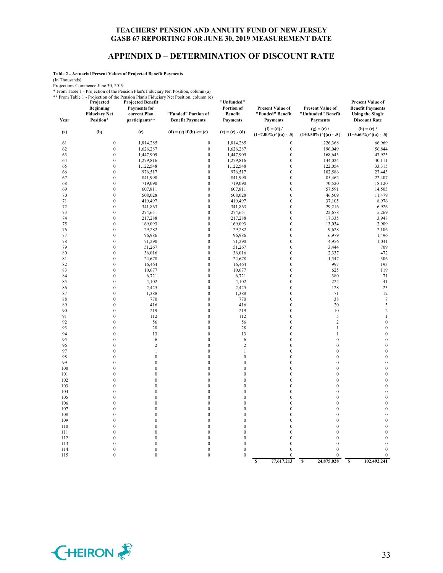#### **APPENDIX D – DETERMINATION OF DISCOUNT RATE**

**Table 2 - Actuarial Present Values of Projected Benefit Payments**

(In Thousands)

Projections Commence June 30, 2019

\* From Table 1 - Projection of the Pension Plan's Fiduciary Net Position, column (a)

\*\* From Table 1 - Projection of the Pension Plan's Fiduciary Net Position, column (e) **Projected Projected Benefit "Unfunded"** 

| 1101111401011<br>Year | Projected<br><b>Beginning</b><br><b>Fiduciary Net</b><br>Position* | <b>Projected Benefit</b><br><b>Payments</b> for<br>current Plan<br>participants** | I referred of the Pension Plan's Protectary Poet Position, column (e)<br>"Funded" Portion of<br><b>Benefit Payments</b> | "Unfunded"<br>Portion of<br><b>Benefit</b><br><b>Payments</b> | <b>Present Value of</b><br>"Funded" Benefit<br><b>Payments</b> | Present Value of<br>"Unfunded" Benefit<br><b>Payments</b>              | <b>Present Value of</b><br><b>Benefit Payments</b><br><b>Using the Single</b><br><b>Discount Rate</b> |
|-----------------------|--------------------------------------------------------------------|-----------------------------------------------------------------------------------|-------------------------------------------------------------------------------------------------------------------------|---------------------------------------------------------------|----------------------------------------------------------------|------------------------------------------------------------------------|-------------------------------------------------------------------------------------------------------|
| (a)                   | (b)                                                                | (c)                                                                               | (d) = (c) if (b) >= (c)                                                                                                 | $(e) = (c) - (d)$                                             | $(f) = (d) /$<br>$(1+7.00\%)$ <sup>^</sup> [(a) - .5]          | $(g) = (e) /$<br>$(1+3.50\%)$ <sup><math>\land</math></sup> [(a) - .5] | $(h) = (c) /$<br>$(1+5.60\%)$ <sup>^</sup> [(a) - .5]                                                 |
| 61                    | $\boldsymbol{0}$                                                   | 1,814,285                                                                         | $\boldsymbol{0}$                                                                                                        | 1,814,285                                                     | $\boldsymbol{0}$                                               | 226,368                                                                | 66,969                                                                                                |
| 62                    | $\boldsymbol{0}$                                                   | 1,626,287                                                                         | $\boldsymbol{0}$                                                                                                        | 1,626,287                                                     | $\boldsymbol{0}$                                               | 196,049                                                                | 56,844                                                                                                |
| 63                    | $\boldsymbol{0}$                                                   | 1,447,909                                                                         | $\boldsymbol{0}$                                                                                                        | 1,447,909                                                     | $\boldsymbol{0}$                                               | 168,643                                                                | 47,923                                                                                                |
| 64                    | $\boldsymbol{0}$                                                   | 1,279,816                                                                         | $\boldsymbol{0}$                                                                                                        | 1,279,816                                                     | $\boldsymbol{0}$                                               | 144,024                                                                | 40,111                                                                                                |
| 65                    | $\mathbf{0}$                                                       | 1,122,548                                                                         | $\boldsymbol{0}$                                                                                                        | 1,122,548                                                     | $\boldsymbol{0}$                                               | 122,054                                                                | 33,315                                                                                                |
| 66                    | $\mathbf{0}$                                                       | 976,517                                                                           | $\boldsymbol{0}$                                                                                                        | 976,517                                                       | $\boldsymbol{0}$                                               | 102,586                                                                | 27,443                                                                                                |
| 67                    | $\boldsymbol{0}$                                                   | 841,990                                                                           | $\boldsymbol{0}$                                                                                                        | 841,990                                                       | $\boldsymbol{0}$                                               | 85,462                                                                 | 22,407                                                                                                |
| 68                    | $\mathbf{0}$                                                       | 719,090                                                                           | $\mathbf{0}$                                                                                                            | 719,090                                                       | $\boldsymbol{0}$                                               | 70,520                                                                 | 18,120                                                                                                |
| 69                    | $\boldsymbol{0}$                                                   | 607,811                                                                           | $\boldsymbol{0}$                                                                                                        | 607,811                                                       | $\boldsymbol{0}$                                               | 57,591                                                                 | 14,503                                                                                                |
| 70                    | $\boldsymbol{0}$                                                   | 508,028                                                                           | $\boldsymbol{0}$                                                                                                        | 508,028                                                       | $\boldsymbol{0}$                                               | 46,509                                                                 | 11,479                                                                                                |
| 71                    | $\mathbf{0}$                                                       | 419,497                                                                           | $\boldsymbol{0}$                                                                                                        | 419,497                                                       | $\boldsymbol{0}$                                               | 37,105                                                                 | 8,976                                                                                                 |
| 72                    | $\mathbf{0}$                                                       | 341,863                                                                           | $\boldsymbol{0}$                                                                                                        | 341,863                                                       | $\boldsymbol{0}$                                               | 29,216                                                                 | 6,926                                                                                                 |
| 73<br>74              | $\boldsymbol{0}$<br>$\boldsymbol{0}$                               | 274,651                                                                           | $\mathbf{0}$<br>$\boldsymbol{0}$                                                                                        | 274,651                                                       | $\boldsymbol{0}$<br>$\boldsymbol{0}$                           | 22,678                                                                 | 5,269<br>3,948                                                                                        |
|                       | $\boldsymbol{0}$                                                   | 217,288                                                                           | $\boldsymbol{0}$                                                                                                        | 217,288                                                       | $\boldsymbol{0}$                                               | 17,335                                                                 |                                                                                                       |
| 75<br>76              | $\boldsymbol{0}$                                                   | 169,093<br>129,282                                                                | $\boldsymbol{0}$                                                                                                        | 169,093<br>129,282                                            | $\boldsymbol{0}$                                               | 13,034<br>9,628                                                        | 2,909<br>2,106                                                                                        |
| 77                    | $\mathbf{0}$                                                       | 96,986                                                                            | $\boldsymbol{0}$                                                                                                        | 96,986                                                        | $\boldsymbol{0}$                                               | 6,979                                                                  | 1,496                                                                                                 |
| 78                    | $\boldsymbol{0}$                                                   | 71,290                                                                            | $\boldsymbol{0}$                                                                                                        | 71,290                                                        | $\boldsymbol{0}$                                               | 4,956                                                                  | 1,041                                                                                                 |
| 79                    | $\boldsymbol{0}$                                                   | 51,267                                                                            | $\boldsymbol{0}$                                                                                                        | 51,267                                                        | $\boldsymbol{0}$                                               | 3,444                                                                  | 709                                                                                                   |
| 80                    | $\boldsymbol{0}$                                                   | 36,016                                                                            | $\boldsymbol{0}$                                                                                                        | 36,016                                                        | $\boldsymbol{0}$                                               | 2,337                                                                  | 472                                                                                                   |
| 81                    | $\boldsymbol{0}$                                                   | 24,678                                                                            | $\boldsymbol{0}$                                                                                                        | 24,678                                                        | $\boldsymbol{0}$                                               | 1,547                                                                  | 306                                                                                                   |
| 82                    | $\boldsymbol{0}$                                                   | 16,464                                                                            | $\boldsymbol{0}$                                                                                                        | 16,464                                                        | $\boldsymbol{0}$                                               | 997                                                                    | 193                                                                                                   |
| 83                    | $\boldsymbol{0}$                                                   | 10,677                                                                            | $\boldsymbol{0}$                                                                                                        | 10,677                                                        | $\boldsymbol{0}$                                               | 625                                                                    | 119                                                                                                   |
| 84                    | $\boldsymbol{0}$                                                   | 6,721                                                                             | $\boldsymbol{0}$                                                                                                        | 6,721                                                         | $\boldsymbol{0}$                                               | 380                                                                    | 71                                                                                                    |
| 85                    | $\boldsymbol{0}$                                                   | 4,102                                                                             | $\boldsymbol{0}$                                                                                                        | 4,102                                                         | $\boldsymbol{0}$                                               | 224                                                                    | 41                                                                                                    |
| 86                    | $\boldsymbol{0}$                                                   | 2,425                                                                             | $\boldsymbol{0}$                                                                                                        | 2,425                                                         | $\boldsymbol{0}$                                               | 128                                                                    | 23                                                                                                    |
| 87                    | $\boldsymbol{0}$                                                   | 1,388                                                                             | $\boldsymbol{0}$                                                                                                        | 1,388                                                         | $\boldsymbol{0}$                                               | 71                                                                     | $12\,$                                                                                                |
| 88                    | $\boldsymbol{0}$                                                   | 770                                                                               | $\boldsymbol{0}$                                                                                                        | 770                                                           | $\boldsymbol{0}$                                               | 38                                                                     | $\tau$                                                                                                |
| 89                    | $\boldsymbol{0}$                                                   | 416                                                                               | $\boldsymbol{0}$                                                                                                        | 416                                                           | $\boldsymbol{0}$                                               | 20                                                                     | $\mathfrak{Z}$                                                                                        |
| 90                    | $\mathbf{0}$                                                       | 219                                                                               | $\boldsymbol{0}$                                                                                                        | 219                                                           | $\boldsymbol{0}$                                               | 10                                                                     | $\sqrt{2}$                                                                                            |
| 91                    | $\boldsymbol{0}$                                                   | 112                                                                               | $\boldsymbol{0}$                                                                                                        | 112                                                           | $\boldsymbol{0}$                                               | 5                                                                      | $\mathbf{1}$                                                                                          |
| 92                    | $\boldsymbol{0}$                                                   | 56                                                                                | $\boldsymbol{0}$                                                                                                        | 56                                                            | $\boldsymbol{0}$                                               | $\overline{c}$                                                         | $\boldsymbol{0}$                                                                                      |
| 93                    | $\mathbf{0}$                                                       | 28                                                                                | $\boldsymbol{0}$                                                                                                        | 28                                                            | $\boldsymbol{0}$                                               | $\mathbf{1}$                                                           | $\boldsymbol{0}$                                                                                      |
| 94<br>95              | $\mathbf{0}$<br>$\boldsymbol{0}$                                   | 13                                                                                | $\boldsymbol{0}$                                                                                                        | 13                                                            | $\boldsymbol{0}$<br>$\boldsymbol{0}$                           | 1                                                                      | $\boldsymbol{0}$                                                                                      |
| 96                    | $\mathbf{0}$                                                       | 6<br>$\overline{c}$                                                               | $\boldsymbol{0}$<br>$\boldsymbol{0}$                                                                                    | 6<br>$\overline{c}$                                           | $\boldsymbol{0}$                                               | $\boldsymbol{0}$<br>$\boldsymbol{0}$                                   | $\boldsymbol{0}$<br>$\boldsymbol{0}$                                                                  |
| 97                    | $\boldsymbol{0}$                                                   | $\mathbf{1}$                                                                      | $\boldsymbol{0}$                                                                                                        | $\mathbf{1}$                                                  | $\boldsymbol{0}$                                               | $\boldsymbol{0}$                                                       | $\boldsymbol{0}$                                                                                      |
| 98                    | $\boldsymbol{0}$                                                   | $\boldsymbol{0}$                                                                  | $\boldsymbol{0}$                                                                                                        | $\boldsymbol{0}$                                              | $\boldsymbol{0}$                                               | $\boldsymbol{0}$                                                       | $\boldsymbol{0}$                                                                                      |
| 99                    | $\mathbf{0}$                                                       | $\boldsymbol{0}$                                                                  | $\boldsymbol{0}$                                                                                                        | $\boldsymbol{0}$                                              | $\boldsymbol{0}$                                               | $\mathbf{0}$                                                           | $\boldsymbol{0}$                                                                                      |
| 100                   | $\mathbf{0}$                                                       | $\boldsymbol{0}$                                                                  | $\boldsymbol{0}$                                                                                                        | $\boldsymbol{0}$                                              | $\boldsymbol{0}$                                               | $\boldsymbol{0}$                                                       | $\boldsymbol{0}$                                                                                      |
| 101                   | $\boldsymbol{0}$                                                   | $\boldsymbol{0}$                                                                  | $\boldsymbol{0}$                                                                                                        | $\boldsymbol{0}$                                              | $\boldsymbol{0}$                                               | $\mathbf{0}$                                                           | $\boldsymbol{0}$                                                                                      |
| 102                   | $\boldsymbol{0}$                                                   | $\boldsymbol{0}$                                                                  | $\boldsymbol{0}$                                                                                                        | $\boldsymbol{0}$                                              | $\boldsymbol{0}$                                               | $\boldsymbol{0}$                                                       | $\boldsymbol{0}$                                                                                      |
| 103                   | $\boldsymbol{0}$                                                   | $\boldsymbol{0}$                                                                  | $\boldsymbol{0}$                                                                                                        | $\boldsymbol{0}$                                              | $\boldsymbol{0}$                                               | $\boldsymbol{0}$                                                       | $\boldsymbol{0}$                                                                                      |
| 104                   | $\mathbf{0}$                                                       | $\mathbf{0}$                                                                      | $\mathbf{0}$                                                                                                            | $\mathbf{0}$                                                  | $\mathbf{0}$                                                   | $\mathbf{0}$                                                           | $\boldsymbol{0}$                                                                                      |
| 105                   | $\mathbf{0}$                                                       | $\boldsymbol{0}$                                                                  | $\boldsymbol{0}$                                                                                                        | $\mathbf{0}$                                                  | $\boldsymbol{0}$                                               | $\boldsymbol{0}$                                                       | $\boldsymbol{0}$                                                                                      |
| 106                   | $\mathbf{0}$                                                       | $\boldsymbol{0}$                                                                  | $\boldsymbol{0}$                                                                                                        | $\boldsymbol{0}$                                              | $\boldsymbol{0}$                                               | $\mathbf{0}$                                                           | $\boldsymbol{0}$                                                                                      |
| 107                   | $\mathbf{0}$                                                       | $\boldsymbol{0}$                                                                  | $\boldsymbol{0}$                                                                                                        | $\boldsymbol{0}$                                              | $\boldsymbol{0}$                                               | $\boldsymbol{0}$                                                       | $\boldsymbol{0}$                                                                                      |
| 108                   | $\boldsymbol{0}$                                                   | $\boldsymbol{0}$                                                                  | $\boldsymbol{0}$                                                                                                        | $\boldsymbol{0}$                                              | $\boldsymbol{0}$                                               | $\boldsymbol{0}$                                                       | $\boldsymbol{0}$                                                                                      |
| 109                   | $\boldsymbol{0}$                                                   | $\boldsymbol{0}$                                                                  | $\boldsymbol{0}$                                                                                                        | $\boldsymbol{0}$                                              | $\boldsymbol{0}$                                               | $\boldsymbol{0}$                                                       | $\boldsymbol{0}$                                                                                      |
| 110                   | $\mathbf{0}$                                                       | $\boldsymbol{0}$                                                                  | $\boldsymbol{0}$                                                                                                        | $\boldsymbol{0}$                                              | $\boldsymbol{0}$                                               | $\boldsymbol{0}$                                                       | $\boldsymbol{0}$                                                                                      |
| 111                   | $\mathbf{0}$                                                       | $\mathbf{0}$                                                                      | $\mathbf{0}$                                                                                                            | $\mathbf{0}$                                                  | $\mathbf{0}$                                                   | $\boldsymbol{0}$                                                       | $\boldsymbol{0}$                                                                                      |
| 112                   | $\boldsymbol{0}$                                                   | $\boldsymbol{0}$                                                                  | $\boldsymbol{0}$                                                                                                        | $\boldsymbol{0}$                                              | $\boldsymbol{0}$                                               | $\boldsymbol{0}$                                                       | $\boldsymbol{0}$                                                                                      |
| 113                   | $\boldsymbol{0}$                                                   | $\boldsymbol{0}$                                                                  | $\boldsymbol{0}$                                                                                                        | $\mathbf{0}$<br>$\boldsymbol{0}$                              | $\boldsymbol{0}$<br>$\boldsymbol{0}$                           | $\mathbf{0}$<br>$\mathbf{0}$                                           | $\mathbf{0}$<br>$\boldsymbol{0}$                                                                      |
| 114<br>115            | $\boldsymbol{0}$<br>$\boldsymbol{0}$                               | $\boldsymbol{0}$<br>$\boldsymbol{0}$                                              | $\boldsymbol{0}$<br>$\boldsymbol{0}$                                                                                    | $\boldsymbol{0}$                                              | $\mathbf{0}$                                                   | $\mathbf{0}$                                                           | $\boldsymbol{0}$                                                                                      |
|                       |                                                                    |                                                                                   |                                                                                                                         |                                                               | 77,617,213<br>$\overline{\mathbf{s}}$                          | $\overline{\mathbf{s}}$<br>24,875,028                                  | $\overline{\mathbf{s}}$<br>102,492,241                                                                |

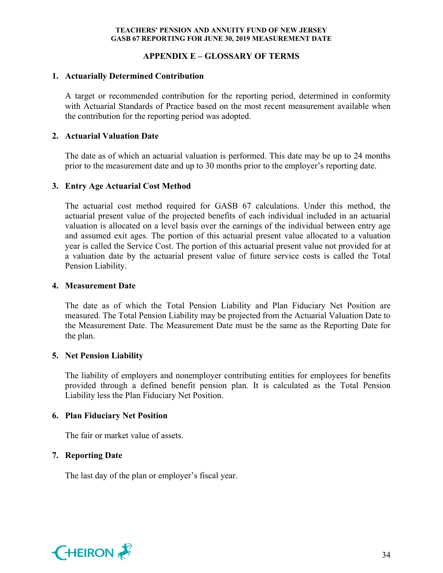# **APPENDIX E – GLOSSARY OF TERMS**

## **1. Actuarially Determined Contribution**

A target or recommended contribution for the reporting period, determined in conformity with Actuarial Standards of Practice based on the most recent measurement available when the contribution for the reporting period was adopted.

#### **2. Actuarial Valuation Date**

The date as of which an actuarial valuation is performed. This date may be up to 24 months prior to the measurement date and up to 30 months prior to the employer's reporting date.

## **3. Entry Age Actuarial Cost Method**

The actuarial cost method required for GASB 67 calculations. Under this method, the actuarial present value of the projected benefits of each individual included in an actuarial valuation is allocated on a level basis over the earnings of the individual between entry age and assumed exit ages. The portion of this actuarial present value allocated to a valuation year is called the Service Cost. The portion of this actuarial present value not provided for at a valuation date by the actuarial present value of future service costs is called the Total Pension Liability.

#### **4. Measurement Date**

The date as of which the Total Pension Liability and Plan Fiduciary Net Position are measured. The Total Pension Liability may be projected from the Actuarial Valuation Date to the Measurement Date. The Measurement Date must be the same as the Reporting Date for the plan.

## **5. Net Pension Liability**

The liability of employers and nonemployer contributing entities for employees for benefits provided through a defined benefit pension plan. It is calculated as the Total Pension Liability less the Plan Fiduciary Net Position.

## **6. Plan Fiduciary Net Position**

The fair or market value of assets.

## **7. Reporting Date**

The last day of the plan or employer's fiscal year.